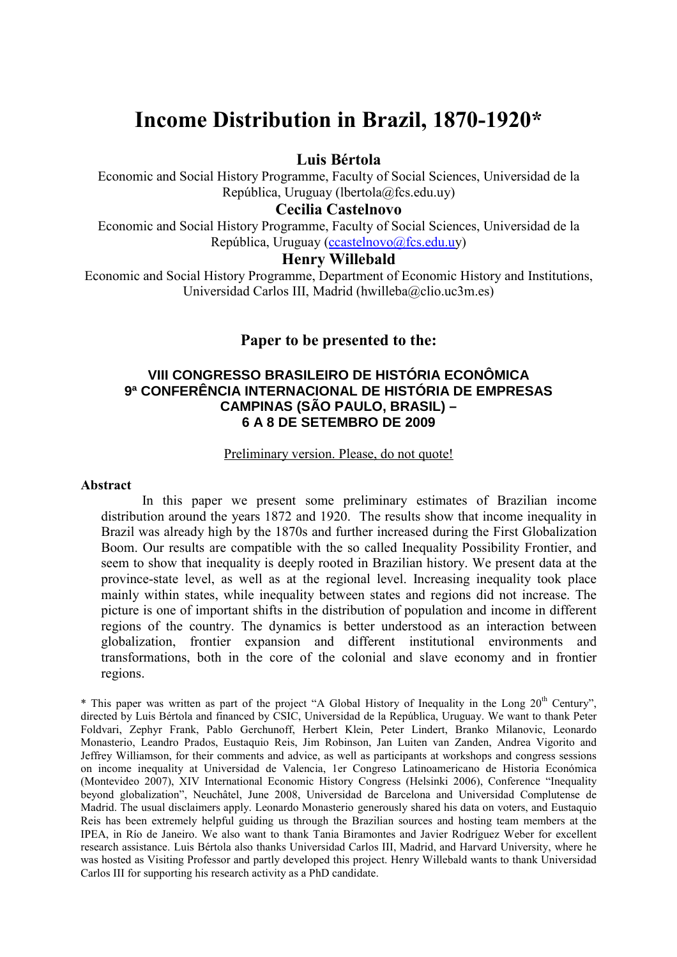# Income Distribution in Brazil, 1870-1920\*

## Luis Bértola

Economic and Social History Programme, Faculty of Social Sciences, Universidad de la República, Uruguay (lbertola@fcs.edu.uy)

# Cecilia Castelnovo

Economic and Social History Programme, Faculty of Social Sciences, Universidad de la República, Uruguay (ccastelnovo@fcs.edu.uy)

# Henry Willebald

Economic and Social History Programme, Department of Economic History and Institutions, Universidad Carlos III, Madrid (hwilleba@clio.uc3m.es)

# Paper to be presented to the:

## **VIII CONGRESSO BRASILEIRO DE HISTÓRIA ECONÔMICA 9ª CONFERÊNCIA INTERNACIONAL DE HISTÓRIA DE EMPRESAS CAMPINAS (SÃO PAULO, BRASIL) – 6 A 8 DE SETEMBRO DE 2009**

## Preliminary version. Please, do not quote!

#### Abstract

In this paper we present some preliminary estimates of Brazilian income distribution around the years 1872 and 1920. The results show that income inequality in Brazil was already high by the 1870s and further increased during the First Globalization Boom. Our results are compatible with the so called Inequality Possibility Frontier, and seem to show that inequality is deeply rooted in Brazilian history. We present data at the province-state level, as well as at the regional level. Increasing inequality took place mainly within states, while inequality between states and regions did not increase. The picture is one of important shifts in the distribution of population and income in different regions of the country. The dynamics is better understood as an interaction between globalization, frontier expansion and different institutional environments and transformations, both in the core of the colonial and slave economy and in frontier regions.

\* This paper was written as part of the project "A Global History of Inequality in the Long  $20<sup>th</sup>$  Century", directed by Luis Bértola and financed by CSIC, Universidad de la República, Uruguay. We want to thank Peter Foldvari, Zephyr Frank, Pablo Gerchunoff, Herbert Klein, Peter Lindert, Branko Milanovic, Leonardo Monasterio, Leandro Prados, Eustaquio Reis, Jim Robinson, Jan Luiten van Zanden, Andrea Vigorito and Jeffrey Williamson, for their comments and advice, as well as participants at workshops and congress sessions on income inequality at Universidad de Valencia, 1er Congreso Latinoamericano de Historia Económica (Montevideo 2007), XIV International Economic History Congress (Helsinki 2006), Conference "Inequality beyond globalization", Neuchâtel, June 2008, Universidad de Barcelona and Universidad Complutense de Madrid. The usual disclaimers apply. Leonardo Monasterio generously shared his data on voters, and Eustaquio Reis has been extremely helpful guiding us through the Brazilian sources and hosting team members at the IPEA, in Río de Janeiro. We also want to thank Tania Biramontes and Javier Rodríguez Weber for excellent research assistance. Luis Bértola also thanks Universidad Carlos III, Madrid, and Harvard University, where he was hosted as Visiting Professor and partly developed this project. Henry Willebald wants to thank Universidad Carlos III for supporting his research activity as a PhD candidate.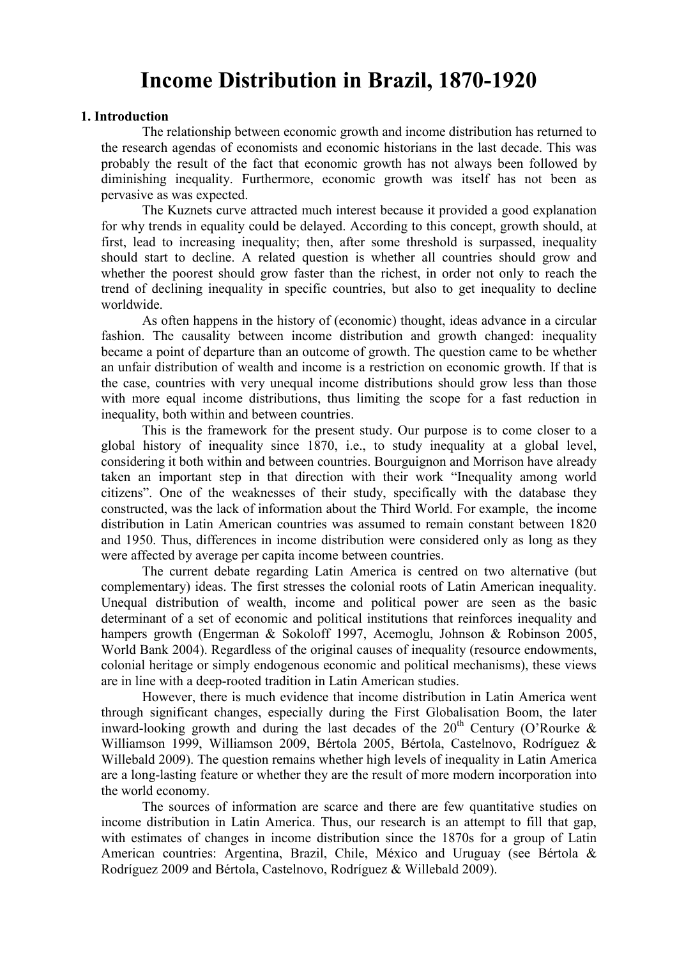# Income Distribution in Brazil, 1870-1920

## 1. Introduction

The relationship between economic growth and income distribution has returned to the research agendas of economists and economic historians in the last decade. This was probably the result of the fact that economic growth has not always been followed by diminishing inequality. Furthermore, economic growth was itself has not been as pervasive as was expected.

The Kuznets curve attracted much interest because it provided a good explanation for why trends in equality could be delayed. According to this concept, growth should, at first, lead to increasing inequality; then, after some threshold is surpassed, inequality should start to decline. A related question is whether all countries should grow and whether the poorest should grow faster than the richest, in order not only to reach the trend of declining inequality in specific countries, but also to get inequality to decline worldwide.

As often happens in the history of (economic) thought, ideas advance in a circular fashion. The causality between income distribution and growth changed: inequality became a point of departure than an outcome of growth. The question came to be whether an unfair distribution of wealth and income is a restriction on economic growth. If that is the case, countries with very unequal income distributions should grow less than those with more equal income distributions, thus limiting the scope for a fast reduction in inequality, both within and between countries.

This is the framework for the present study. Our purpose is to come closer to a global history of inequality since 1870, i.e., to study inequality at a global level, considering it both within and between countries. Bourguignon and Morrison have already taken an important step in that direction with their work "Inequality among world citizens". One of the weaknesses of their study, specifically with the database they constructed, was the lack of information about the Third World. For example, the income distribution in Latin American countries was assumed to remain constant between 1820 and 1950. Thus, differences in income distribution were considered only as long as they were affected by average per capita income between countries.

The current debate regarding Latin America is centred on two alternative (but complementary) ideas. The first stresses the colonial roots of Latin American inequality. Unequal distribution of wealth, income and political power are seen as the basic determinant of a set of economic and political institutions that reinforces inequality and hampers growth (Engerman & Sokoloff 1997, Acemoglu, Johnson & Robinson 2005, World Bank 2004). Regardless of the original causes of inequality (resource endowments, colonial heritage or simply endogenous economic and political mechanisms), these views are in line with a deep-rooted tradition in Latin American studies.

However, there is much evidence that income distribution in Latin America went through significant changes, especially during the First Globalisation Boom, the later inward-looking growth and during the last decades of the  $20<sup>th</sup>$  Century (O'Rourke  $\&$ Williamson 1999, Williamson 2009, Bértola 2005, Bértola, Castelnovo, Rodríguez & Willebald 2009). The question remains whether high levels of inequality in Latin America are a long-lasting feature or whether they are the result of more modern incorporation into the world economy.

The sources of information are scarce and there are few quantitative studies on income distribution in Latin America. Thus, our research is an attempt to fill that gap, with estimates of changes in income distribution since the 1870s for a group of Latin American countries: Argentina, Brazil, Chile, México and Uruguay (see Bértola & Rodríguez 2009 and Bértola, Castelnovo, Rodríguez & Willebald 2009).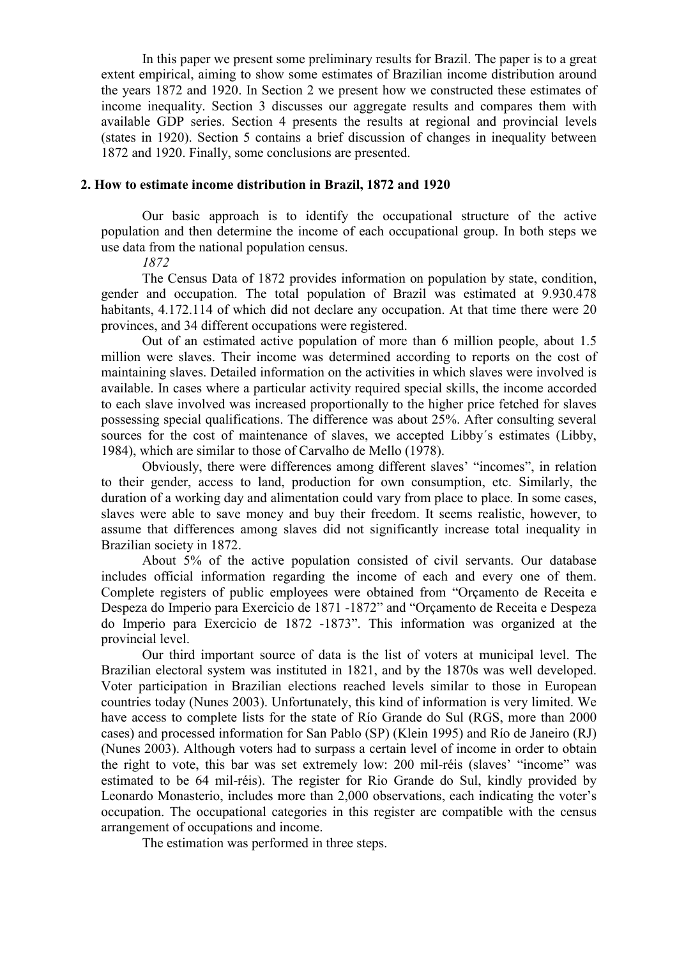In this paper we present some preliminary results for Brazil. The paper is to a great extent empirical, aiming to show some estimates of Brazilian income distribution around the years 1872 and 1920. In Section 2 we present how we constructed these estimates of income inequality. Section 3 discusses our aggregate results and compares them with available GDP series. Section 4 presents the results at regional and provincial levels (states in 1920). Section 5 contains a brief discussion of changes in inequality between 1872 and 1920. Finally, some conclusions are presented.

### 2. How to estimate income distribution in Brazil, 1872 and 1920

Our basic approach is to identify the occupational structure of the active population and then determine the income of each occupational group. In both steps we use data from the national population census.

1872

The Census Data of 1872 provides information on population by state, condition, gender and occupation. The total population of Brazil was estimated at 9.930.478 habitants, 4.172.114 of which did not declare any occupation. At that time there were 20 provinces, and 34 different occupations were registered.

Out of an estimated active population of more than 6 million people, about 1.5 million were slaves. Their income was determined according to reports on the cost of maintaining slaves. Detailed information on the activities in which slaves were involved is available. In cases where a particular activity required special skills, the income accorded to each slave involved was increased proportionally to the higher price fetched for slaves possessing special qualifications. The difference was about 25%. After consulting several sources for the cost of maintenance of slaves, we accepted Libby´s estimates (Libby, 1984), which are similar to those of Carvalho de Mello (1978).

Obviously, there were differences among different slaves' "incomes", in relation to their gender, access to land, production for own consumption, etc. Similarly, the duration of a working day and alimentation could vary from place to place. In some cases, slaves were able to save money and buy their freedom. It seems realistic, however, to assume that differences among slaves did not significantly increase total inequality in Brazilian society in 1872.

About 5% of the active population consisted of civil servants. Our database includes official information regarding the income of each and every one of them. Complete registers of public employees were obtained from "Orçamento de Receita e Despeza do Imperio para Exercicio de 1871 -1872" and "Orçamento de Receita e Despeza do Imperio para Exercicio de 1872 -1873". This information was organized at the provincial level.

Our third important source of data is the list of voters at municipal level. The Brazilian electoral system was instituted in 1821, and by the 1870s was well developed. Voter participation in Brazilian elections reached levels similar to those in European countries today (Nunes 2003). Unfortunately, this kind of information is very limited. We have access to complete lists for the state of Río Grande do Sul (RGS, more than 2000) cases) and processed information for San Pablo (SP) (Klein 1995) and Río de Janeiro (RJ) (Nunes 2003). Although voters had to surpass a certain level of income in order to obtain the right to vote, this bar was set extremely low: 200 mil-réis (slaves' "income" was estimated to be 64 mil-réis). The register for Rio Grande do Sul, kindly provided by Leonardo Monasterio, includes more than 2,000 observations, each indicating the voter's occupation. The occupational categories in this register are compatible with the census arrangement of occupations and income.

The estimation was performed in three steps.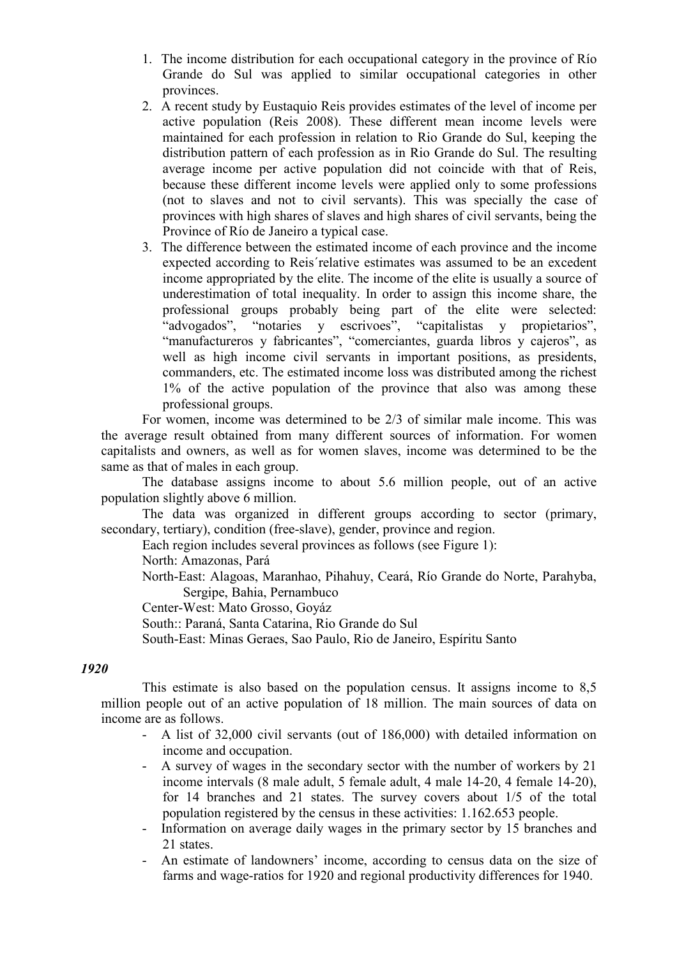- 1. The income distribution for each occupational category in the province of Río Grande do Sul was applied to similar occupational categories in other provinces.
- 2. A recent study by Eustaquio Reis provides estimates of the level of income per active population (Reis 2008). These different mean income levels were maintained for each profession in relation to Rio Grande do Sul, keeping the distribution pattern of each profession as in Rio Grande do Sul. The resulting average income per active population did not coincide with that of Reis, because these different income levels were applied only to some professions (not to slaves and not to civil servants). This was specially the case of provinces with high shares of slaves and high shares of civil servants, being the Province of Río de Janeiro a typical case.
- 3. The difference between the estimated income of each province and the income expected according to Reis´relative estimates was assumed to be an excedent income appropriated by the elite. The income of the elite is usually a source of underestimation of total inequality. In order to assign this income share, the professional groups probably being part of the elite were selected: "advogados", "notaries y escrivoes", "capitalistas y propietarios", "manufactureros y fabricantes", "comerciantes, guarda libros y cajeros", as well as high income civil servants in important positions, as presidents, commanders, etc. The estimated income loss was distributed among the richest 1% of the active population of the province that also was among these professional groups.

For women, income was determined to be 2/3 of similar male income. This was the average result obtained from many different sources of information. For women capitalists and owners, as well as for women slaves, income was determined to be the same as that of males in each group.

The database assigns income to about 5.6 million people, out of an active population slightly above 6 million.

The data was organized in different groups according to sector (primary, secondary, tertiary), condition (free-slave), gender, province and region.

Each region includes several provinces as follows (see Figure 1):

North: Amazonas, Pará

North-East: Alagoas, Maranhao, Pihahuy, Ceará, Río Grande do Norte, Parahyba, Sergipe, Bahia, Pernambuco

Center-West: Mato Grosso, Goyáz

South:: Paraná, Santa Catarina, Rio Grande do Sul

South-East: Minas Geraes, Sao Paulo, Rio de Janeiro, Espíritu Santo

## 1920

This estimate is also based on the population census. It assigns income to 8,5 million people out of an active population of 18 million. The main sources of data on income are as follows.

- A list of 32,000 civil servants (out of 186,000) with detailed information on income and occupation.
- A survey of wages in the secondary sector with the number of workers by 21 income intervals (8 male adult, 5 female adult, 4 male 14-20, 4 female 14-20), for 14 branches and 21 states. The survey covers about 1/5 of the total population registered by the census in these activities: 1.162.653 people.
- Information on average daily wages in the primary sector by 15 branches and 21 states.
- An estimate of landowners' income, according to census data on the size of farms and wage-ratios for 1920 and regional productivity differences for 1940.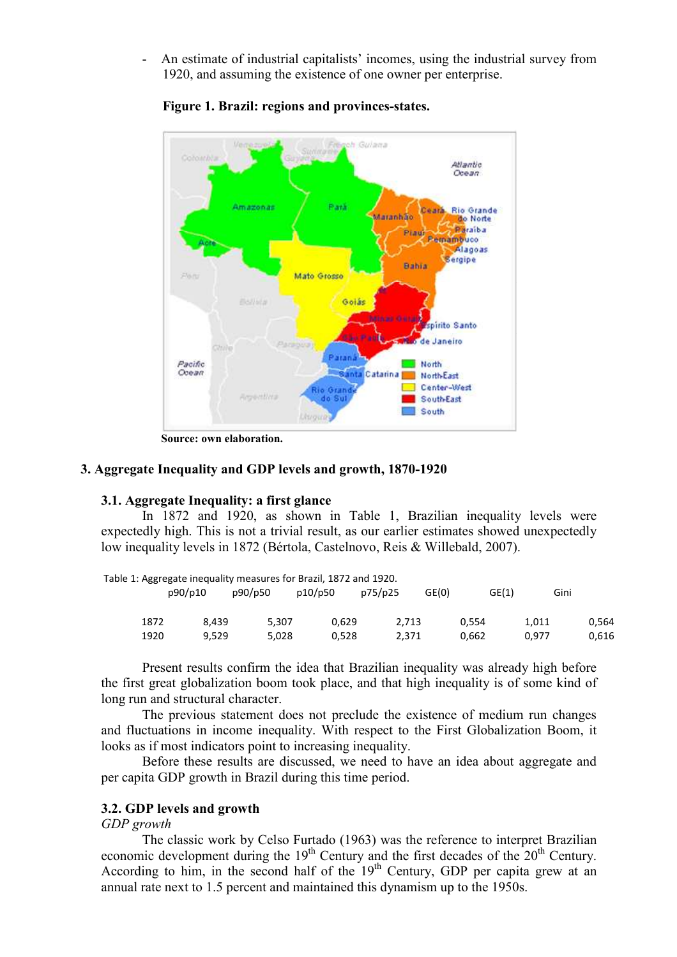- An estimate of industrial capitalists' incomes, using the industrial survey from 1920, and assuming the existence of one owner per enterprise.



Figure 1. Brazil: regions and provinces-states.

Source: own elaboration.

### 3. Aggregate Inequality and GDP levels and growth, 1870-1920

### 3.1. Aggregate Inequality: a first glance

In 1872 and 1920, as shown in Table 1, Brazilian inequality levels were expectedly high. This is not a trivial result, as our earlier estimates showed unexpectedly low inequality levels in 1872 (Bértola, Castelnovo, Reis & Willebald, 2007).

|      |         |         | Table 1: Aggregate inequality measures for Brazil, 1872 and 1920. |         |       |       |       |
|------|---------|---------|-------------------------------------------------------------------|---------|-------|-------|-------|
|      | p90/p10 | p90/p50 | p10/p50                                                           | p75/p25 | GE(0) | GE(1) | Gini  |
| 1872 | 8.439   | 5.307   | 0.629                                                             | 2.713   | 0.554 | 1.011 | 0.564 |
| 1920 | 9.529   | 5.028   | 0.528                                                             | 2,371   | 0.662 | 0.977 | 0.616 |

Present results confirm the idea that Brazilian inequality was already high before the first great globalization boom took place, and that high inequality is of some kind of long run and structural character.

The previous statement does not preclude the existence of medium run changes and fluctuations in income inequality. With respect to the First Globalization Boom, it looks as if most indicators point to increasing inequality.

Before these results are discussed, we need to have an idea about aggregate and per capita GDP growth in Brazil during this time period.

# 3.2. GDP levels and growth

## GDP growth

The classic work by Celso Furtado (1963) was the reference to interpret Brazilian economic development during the  $19<sup>th</sup>$  Century and the first decades of the  $20<sup>th</sup>$  Century. According to him, in the second half of the  $19<sup>th</sup>$  Century, GDP per capita grew at an annual rate next to 1.5 percent and maintained this dynamism up to the 1950s.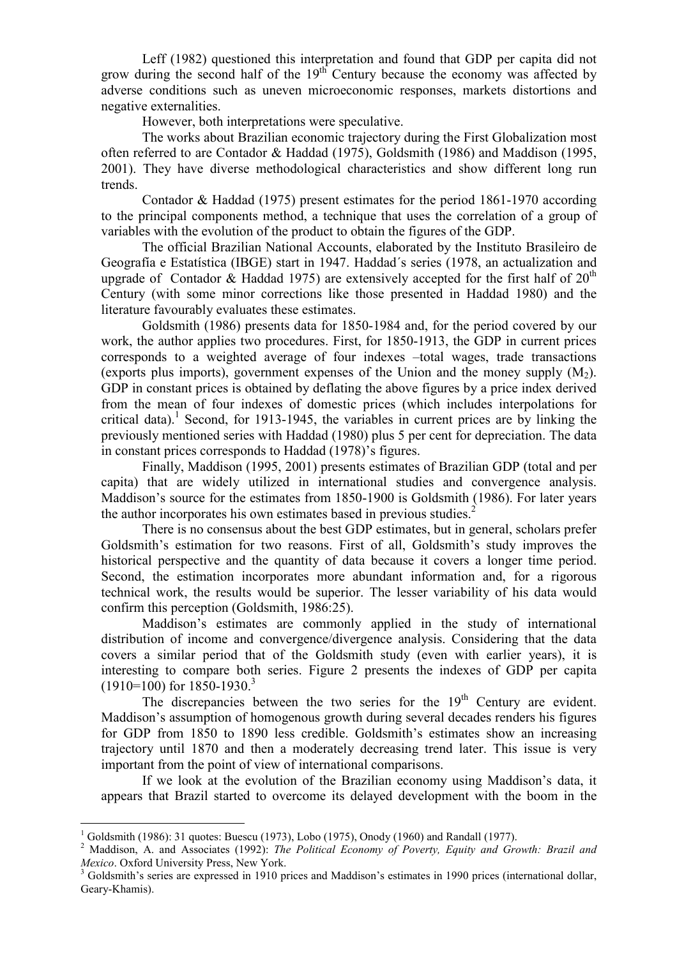Leff (1982) questioned this interpretation and found that GDP per capita did not grow during the second half of the  $19<sup>th</sup>$  Century because the economy was affected by adverse conditions such as uneven microeconomic responses, markets distortions and negative externalities.

However, both interpretations were speculative.

The works about Brazilian economic trajectory during the First Globalization most often referred to are Contador & Haddad (1975), Goldsmith (1986) and Maddison (1995, 2001). They have diverse methodological characteristics and show different long run trends.

Contador & Haddad (1975) present estimates for the period 1861-1970 according to the principal components method, a technique that uses the correlation of a group of variables with the evolution of the product to obtain the figures of the GDP.

The official Brazilian National Accounts, elaborated by the Instituto Brasileiro de Geografía e Estatística (IBGE) start in 1947. Haddad´s series (1978, an actualization and upgrade of Contador & Haddad 1975) are extensively accepted for the first half of  $20<sup>th</sup>$ Century (with some minor corrections like those presented in Haddad 1980) and the literature favourably evaluates these estimates.

Goldsmith (1986) presents data for 1850-1984 and, for the period covered by our work, the author applies two procedures. First, for 1850-1913, the GDP in current prices corresponds to a weighted average of four indexes –total wages, trade transactions (exports plus imports), government expenses of the Union and the money supply  $(M<sub>2</sub>)$ . GDP in constant prices is obtained by deflating the above figures by a price index derived from the mean of four indexes of domestic prices (which includes interpolations for critical data).<sup>1</sup> Second, for 1913-1945, the variables in current prices are by linking the previously mentioned series with Haddad (1980) plus 5 per cent for depreciation. The data in constant prices corresponds to Haddad (1978)'s figures.

Finally, Maddison (1995, 2001) presents estimates of Brazilian GDP (total and per capita) that are widely utilized in international studies and convergence analysis. Maddison's source for the estimates from 1850-1900 is Goldsmith (1986). For later years the author incorporates his own estimates based in previous studies.<sup>2</sup>

There is no consensus about the best GDP estimates, but in general, scholars prefer Goldsmith's estimation for two reasons. First of all, Goldsmith's study improves the historical perspective and the quantity of data because it covers a longer time period. Second, the estimation incorporates more abundant information and, for a rigorous technical work, the results would be superior. The lesser variability of his data would confirm this perception (Goldsmith, 1986:25).

Maddison's estimates are commonly applied in the study of international distribution of income and convergence/divergence analysis. Considering that the data covers a similar period that of the Goldsmith study (even with earlier years), it is interesting to compare both series. Figure 2 presents the indexes of GDP per capita  $(1910=100)$  for  $1850-1930.<sup>3</sup>$ 

The discrepancies between the two series for the  $19<sup>th</sup>$  Century are evident. Maddison's assumption of homogenous growth during several decades renders his figures for GDP from 1850 to 1890 less credible. Goldsmith's estimates show an increasing trajectory until 1870 and then a moderately decreasing trend later. This issue is very important from the point of view of international comparisons.

If we look at the evolution of the Brazilian economy using Maddison's data, it appears that Brazil started to overcome its delayed development with the boom in the

 $\overline{a}$ <sup>1</sup> Goldsmith (1986): 31 quotes: Buescu (1973), Lobo (1975), Onody (1960) and Randall (1977).

 $2$  Maddison, A. and Associates (1992): The Political Economy of Poverty, Equity and Growth: Brazil and Mexico. Oxford University Press, New York.

<sup>&</sup>lt;sup>3</sup> Goldsmith's series are expressed in 1910 prices and Maddison's estimates in 1990 prices (international dollar, Geary-Khamis).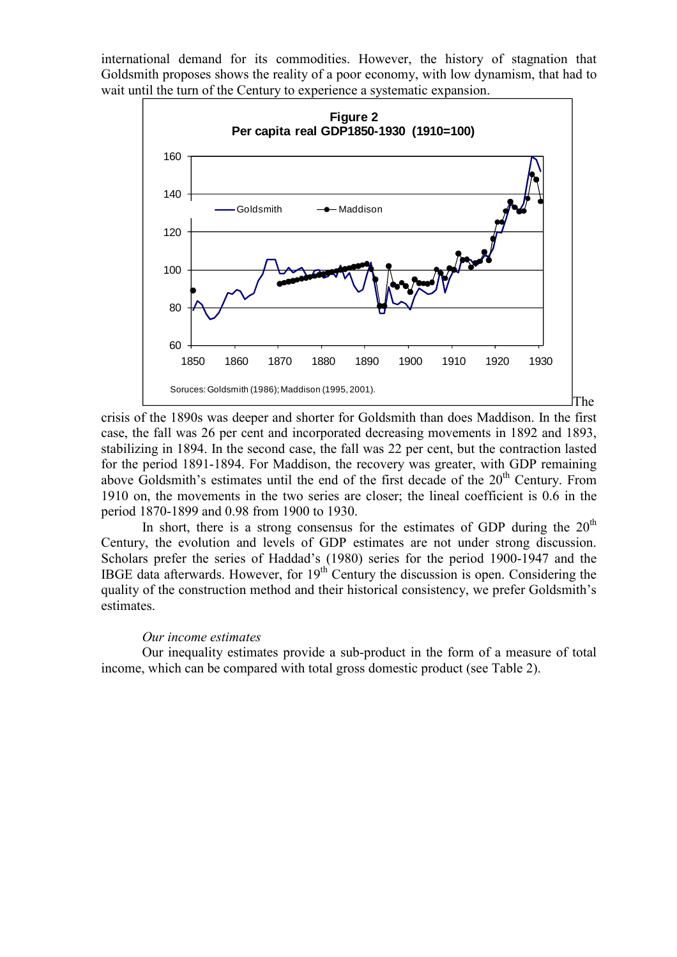international demand for its commodities. However, the history of stagnation that Goldsmith proposes shows the reality of a poor economy, with low dynamism, that had to wait until the turn of the Century to experience a systematic expansion.



crisis of the 1890s was deeper and shorter for Goldsmith than does Maddison. In the first case, the fall was 26 per cent and incorporated decreasing movements in 1892 and 1893, stabilizing in 1894. In the second case, the fall was 22 per cent, but the contraction lasted for the period 1891-1894. For Maddison, the recovery was greater, with GDP remaining above Goldsmith's estimates until the end of the first decade of the 20<sup>th</sup> Century. From 1910 on, the movements in the two series are closer; the lineal coefficient is 0.6 in the period 1870-1899 and 0.98 from 1900 to 1930.

In short, there is a strong consensus for the estimates of GDP during the  $20<sup>th</sup>$ Century, the evolution and levels of GDP estimates are not under strong discussion. Scholars prefer the series of Haddad's (1980) series for the period 1900-1947 and the IBGE data afterwards. However, for  $19<sup>th</sup>$  Century the discussion is open. Considering the quality of the construction method and their historical consistency, we prefer Goldsmith's estimates.

### Our income estimates

Our inequality estimates provide a sub-product in the form of a measure of total income, which can be compared with total gross domestic product (see Table 2).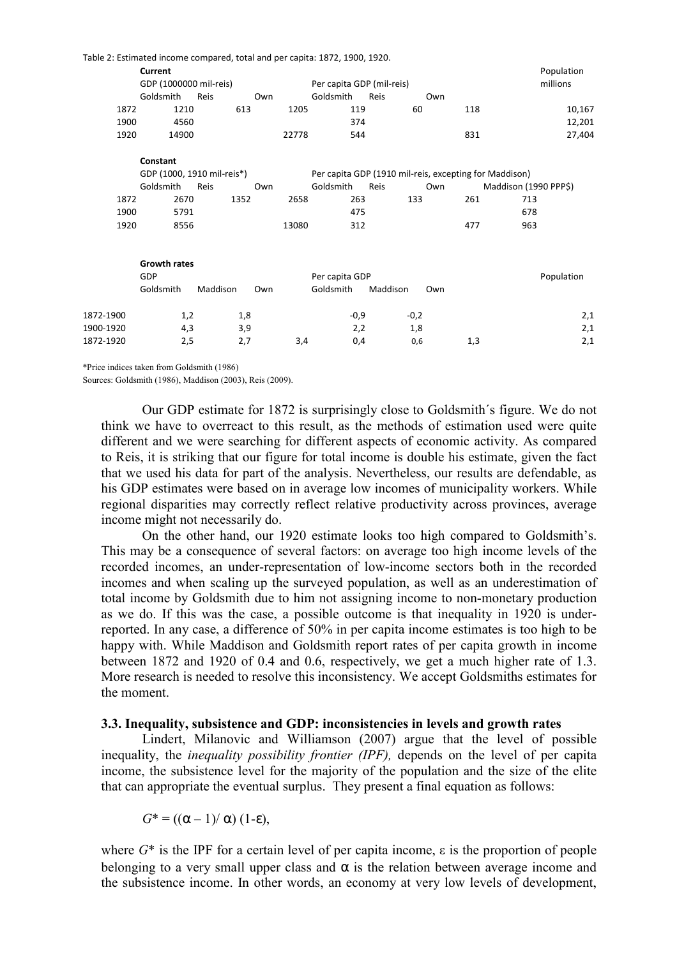|           |                        | Table 2: Estimated income compared, total and per capita: 1872, 1900, 1920. |       |                           |                                                        |          |                       |            |
|-----------|------------------------|-----------------------------------------------------------------------------|-------|---------------------------|--------------------------------------------------------|----------|-----------------------|------------|
|           | Current                |                                                                             |       |                           |                                                        |          |                       | Population |
|           | GDP (1000000 mil-reis) |                                                                             |       | Per capita GDP (mil-reis) |                                                        | millions |                       |            |
|           | Goldsmith              | Reis                                                                        | Own   | Goldsmith                 | Reis                                                   | Own      |                       |            |
| 1872      | 1210                   | 613                                                                         | 1205  | 119                       |                                                        | 60       | 118                   | 10,167     |
| 1900      | 4560                   |                                                                             |       | 374                       |                                                        |          |                       | 12,201     |
| 1920      | 14900                  |                                                                             | 22778 | 544                       |                                                        | 831      |                       | 27,404     |
|           | Constant               |                                                                             |       |                           |                                                        |          |                       |            |
|           |                        | GDP (1000, 1910 mil-reis*)                                                  |       |                           | Per capita GDP (1910 mil-reis, excepting for Maddison) |          |                       |            |
|           | Goldsmith              | Reis                                                                        | Own   | Goldsmith                 | Reis                                                   | Own      | Maddison (1990 PPP\$) |            |
| 1872      | 2670                   | 1352                                                                        | 2658  | 263                       | 133                                                    | 261      | 713                   |            |
| 1900      | 5791                   |                                                                             |       | 475                       |                                                        |          | 678                   |            |
| 1920      | 8556                   |                                                                             | 13080 | 312                       |                                                        | 477      | 963                   |            |
|           |                        |                                                                             |       |                           |                                                        |          |                       |            |
|           | <b>Growth rates</b>    |                                                                             |       |                           |                                                        |          |                       |            |
|           | GDP                    |                                                                             |       | Per capita GDP            |                                                        |          |                       | Population |
|           | Goldsmith              | Maddison                                                                    | Own   | Goldsmith                 | Maddison                                               | Own      |                       |            |
| 1872-1900 | 1,2                    | 1,8                                                                         |       | $-0,9$                    | $-0,2$                                                 |          |                       | 2,1        |
| 1900-1920 | 4,3                    | 3,9                                                                         |       | 2,2                       |                                                        | 1,8      |                       | 2,1        |
| 1872-1920 | 2,5                    | 2,7                                                                         | 3,4   | 0,4                       |                                                        | 0,6      | 1,3                   | 2,1        |
|           |                        |                                                                             |       |                           |                                                        |          |                       |            |

\*Price indices taken from Goldsmith (1986)

Sources: Goldsmith (1986), Maddison (2003), Reis (2009).

Our GDP estimate for 1872 is surprisingly close to Goldsmith´s figure. We do not think we have to overreact to this result, as the methods of estimation used were quite different and we were searching for different aspects of economic activity. As compared to Reis, it is striking that our figure for total income is double his estimate, given the fact that we used his data for part of the analysis. Nevertheless, our results are defendable, as his GDP estimates were based on in average low incomes of municipality workers. While regional disparities may correctly reflect relative productivity across provinces, average income might not necessarily do.

On the other hand, our 1920 estimate looks too high compared to Goldsmith's. This may be a consequence of several factors: on average too high income levels of the recorded incomes, an under-representation of low-income sectors both in the recorded incomes and when scaling up the surveyed population, as well as an underestimation of total income by Goldsmith due to him not assigning income to non-monetary production as we do. If this was the case, a possible outcome is that inequality in 1920 is underreported. In any case, a difference of 50% in per capita income estimates is too high to be happy with. While Maddison and Goldsmith report rates of per capita growth in income between 1872 and 1920 of 0.4 and 0.6, respectively, we get a much higher rate of 1.3. More research is needed to resolve this inconsistency. We accept Goldsmiths estimates for the moment.

### 3.3. Inequality, subsistence and GDP: inconsistencies in levels and growth rates

Lindert, Milanovic and Williamson (2007) argue that the level of possible inequality, the inequality possibility frontier (IPF), depends on the level of per capita income, the subsistence level for the majority of the population and the size of the elite that can appropriate the eventual surplus. They present a final equation as follows:

 $G^* = ((\alpha - 1)/\alpha) (1-\epsilon)$ ,

where  $G^*$  is the IPF for a certain level of per capita income,  $\varepsilon$  is the proportion of people belonging to a very small upper class and  $\alpha$  is the relation between average income and the subsistence income. In other words, an economy at very low levels of development,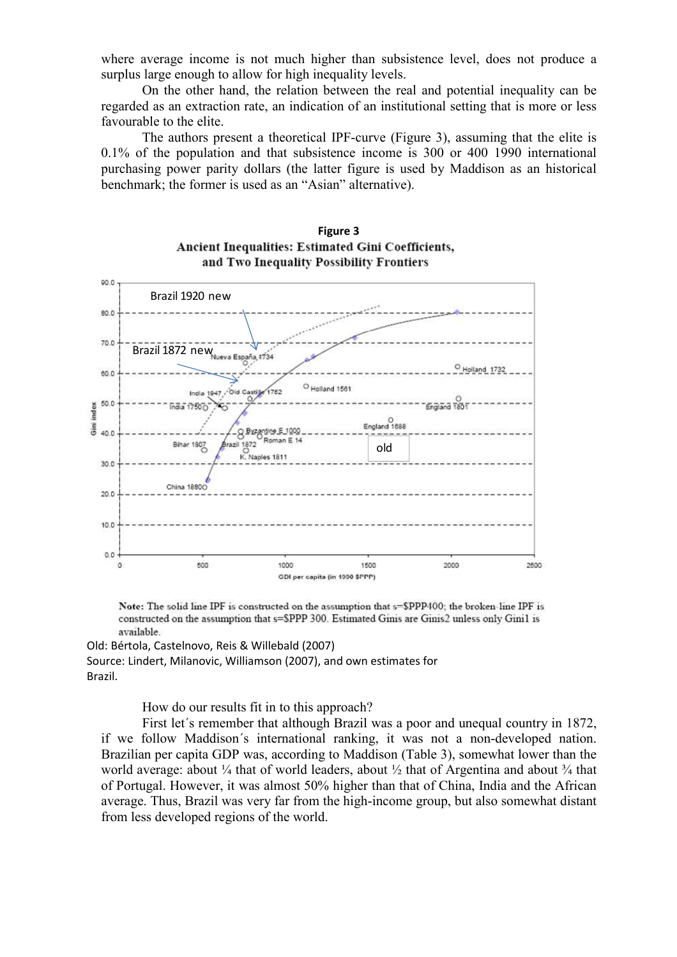where average income is not much higher than subsistence level, does not produce a surplus large enough to allow for high inequality levels.

On the other hand, the relation between the real and potential inequality can be regarded as an extraction rate, an indication of an institutional setting that is more or less favourable to the elite.

The authors present a theoretical IPF-curve (Figure 3), assuming that the elite is 0.1% of the population and that subsistence income is 300 or 400 1990 international purchasing power parity dollars (the latter figure is used by Maddison as an historical benchmark; the former is used as an "Asian" alternative).





Note: The solid line IPF is constructed on the assumption that s=\$PPP400; the broken-line IPF is constructed on the assumption that s=\$PPP 300. Estimated Ginis are Ginis2 unless only Gini1 is available.

Old: Bértola, Castelnovo, Reis & Willebald (2007) Source: Lindert, Milanovic, Williamson (2007), and own estimates for Brazil.

How do our results fit in to this approach?

First let´s remember that although Brazil was a poor and unequal country in 1872, if we follow Maddison´s international ranking, it was not a non-developed nation. Brazilian per capita GDP was, according to Maddison (Table 3), somewhat lower than the world average: about  $\frac{1}{4}$  that of world leaders, about  $\frac{1}{2}$  that of Argentina and about  $\frac{3}{4}$  that of Portugal. However, it was almost 50% higher than that of China, India and the African average. Thus, Brazil was very far from the high-income group, but also somewhat distant from less developed regions of the world.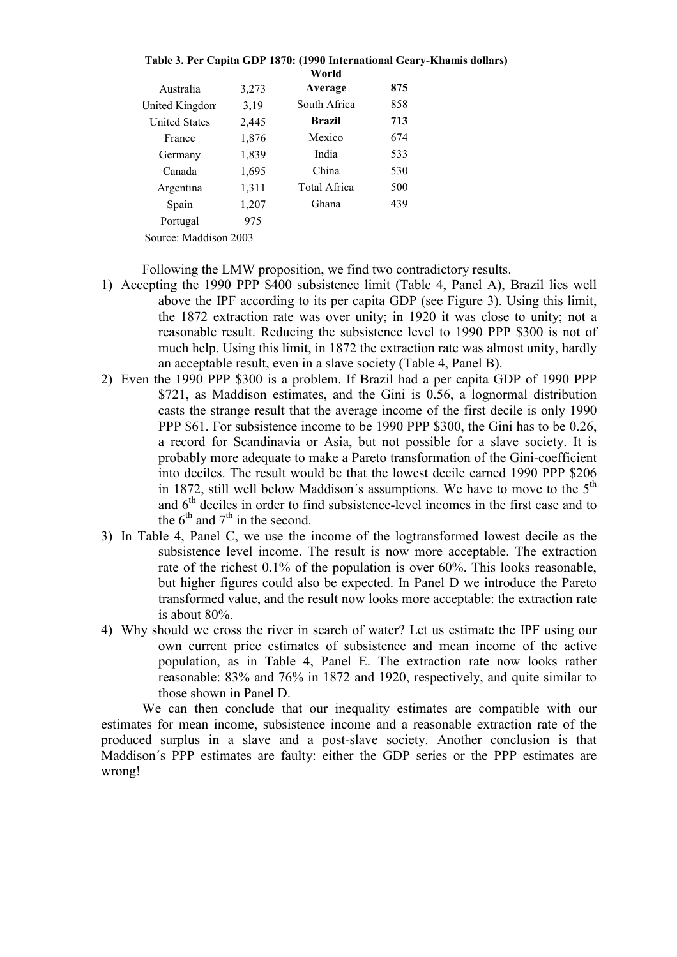|                       |       | Table 3. Per Capita GDP 1870: (1990 International Geary-Khai<br>World |     |  |
|-----------------------|-------|-----------------------------------------------------------------------|-----|--|
| Australia             | 3,273 | Average                                                               | 875 |  |
| United Kingdom        | 3,19  | South Africa                                                          | 858 |  |
| <b>United States</b>  | 2,445 | <b>Brazil</b>                                                         | 713 |  |
| France                | 1,876 | Mexico                                                                | 674 |  |
| Germany               | 1,839 | India                                                                 | 533 |  |
| Canada                | 1,695 | China                                                                 | 530 |  |
| Argentina             | 1,311 | <b>Total Africa</b>                                                   | 500 |  |
| Spain                 | 1,207 | Ghana                                                                 | 439 |  |
| Portugal              | 975   |                                                                       |     |  |
| Source: Maddison 2003 |       |                                                                       |     |  |

mis dollars)

Following the LMW proposition, we find two contradictory results.

- 1) Accepting the 1990 PPP \$400 subsistence limit (Table 4, Panel A), Brazil lies well above the IPF according to its per capita GDP (see Figure 3). Using this limit, the 1872 extraction rate was over unity; in 1920 it was close to unity; not a reasonable result. Reducing the subsistence level to 1990 PPP \$300 is not of much help. Using this limit, in 1872 the extraction rate was almost unity, hardly an acceptable result, even in a slave society (Table 4, Panel B).
- 2) Even the 1990 PPP \$300 is a problem. If Brazil had a per capita GDP of 1990 PPP \$721, as Maddison estimates, and the Gini is 0.56, a lognormal distribution casts the strange result that the average income of the first decile is only 1990 PPP \$61. For subsistence income to be 1990 PPP \$300, the Gini has to be 0.26, a record for Scandinavia or Asia, but not possible for a slave society. It is probably more adequate to make a Pareto transformation of the Gini-coefficient into deciles. The result would be that the lowest decile earned 1990 PPP \$206 in 1872, still well below Maddison's assumptions. We have to move to the  $5<sup>th</sup>$ and  $6<sup>th</sup>$  deciles in order to find subsistence-level incomes in the first case and to the  $6<sup>th</sup>$  and  $7<sup>th</sup>$  in the second.
- 3) In Table 4, Panel C, we use the income of the logtransformed lowest decile as the subsistence level income. The result is now more acceptable. The extraction rate of the richest 0.1% of the population is over 60%. This looks reasonable, but higher figures could also be expected. In Panel D we introduce the Pareto transformed value, and the result now looks more acceptable: the extraction rate is about 80%.
- 4) Why should we cross the river in search of water? Let us estimate the IPF using our own current price estimates of subsistence and mean income of the active population, as in Table 4, Panel E. The extraction rate now looks rather reasonable: 83% and 76% in 1872 and 1920, respectively, and quite similar to those shown in Panel D.

We can then conclude that our inequality estimates are compatible with our estimates for mean income, subsistence income and a reasonable extraction rate of the produced surplus in a slave and a post-slave society. Another conclusion is that Maddison´s PPP estimates are faulty: either the GDP series or the PPP estimates are wrong!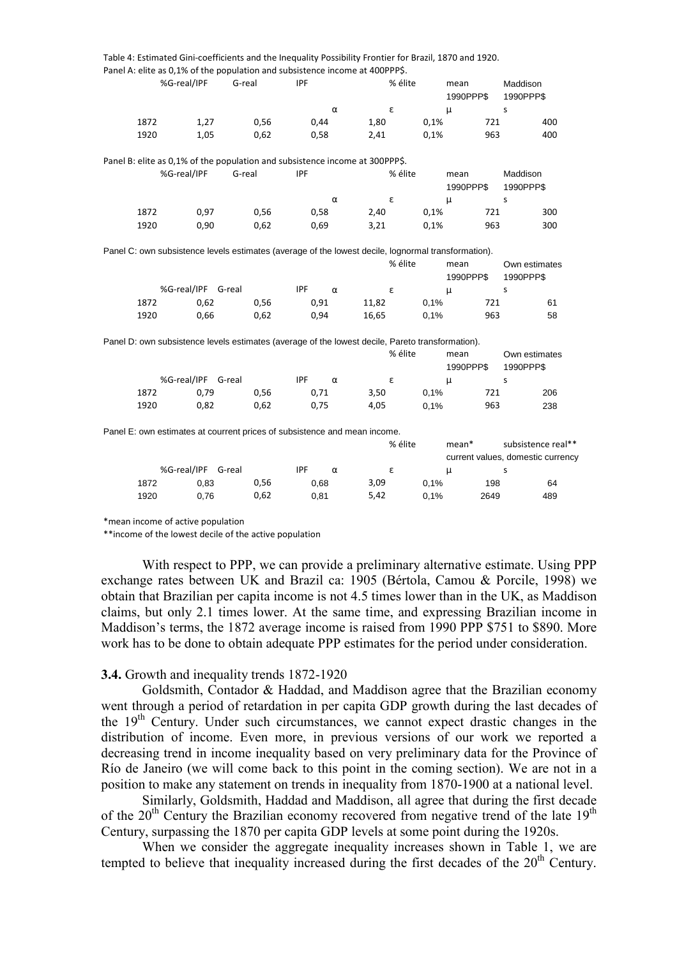|             |                    | Table 4: Estimated Gini-coefficients and the Inequality Possibility Frontier for Brazil, 1870 and 1920. |            |          |       |                         |      |                   |                       |                    |
|-------------|--------------------|---------------------------------------------------------------------------------------------------------|------------|----------|-------|-------------------------|------|-------------------|-----------------------|--------------------|
|             |                    | Panel A: elite as 0,1% of the population and subsistence income at 400PPP\$.                            |            |          |       |                         |      |                   |                       |                    |
| %G-real/IPF |                    | G-real                                                                                                  | <b>IPF</b> |          |       | % élite                 |      | mean              | Maddison              |                    |
|             |                    |                                                                                                         |            |          |       |                         |      | 1990PPP\$         | 1990PPP\$             |                    |
|             |                    |                                                                                                         |            | $\alpha$ |       | $\boldsymbol{\epsilon}$ |      | $\mu$             | S                     |                    |
| 1872        | 1,27               | 0,56                                                                                                    | 0,44       |          | 1,80  |                         | 0,1% | 721               |                       | 400                |
| 1920        | 1,05               | 0,62                                                                                                    | 0,58       |          | 2,41  |                         | 0,1% | 963               |                       | 400                |
|             |                    | Panel B: elite as 0,1% of the population and subsistence income at 300PPP\$.                            |            |          |       |                         |      |                   |                       |                    |
| %G-real/IPF |                    | G-real                                                                                                  | <b>IPF</b> |          |       | % élite                 |      | mean<br>1990PPP\$ | Maddison<br>1990PPP\$ |                    |
|             |                    |                                                                                                         |            | $\alpha$ |       | ε                       |      | $\mu$             | S                     |                    |
| 1872        | 0,97               | 0,56                                                                                                    | 0,58       |          | 2,40  |                         | 0,1% | 721               |                       | 300                |
| 1920        | 0,90               | 0,62                                                                                                    | 0,69       |          | 3,21  |                         | 0,1% | 963               |                       | 300                |
|             |                    | Panel C: own subsistence levels estimates (average of the lowest decile, lognormal transformation).     |            |          |       |                         |      |                   |                       |                    |
|             |                    |                                                                                                         |            |          |       | % élite                 |      | mean              |                       | Own estimates      |
|             |                    |                                                                                                         |            |          |       |                         |      | 1990PPP\$         | 1990PPP\$             |                    |
|             | %G-real/IPF G-real |                                                                                                         | <b>IPF</b> | $\alpha$ |       | $\boldsymbol{\epsilon}$ |      | $\mu$             | S                     |                    |
| 1872        | 0,62               | 0,56                                                                                                    | 0,91       |          | 11,82 |                         | 0,1% | 721               |                       | 61                 |
| 1920        | 0,66               | 0,62                                                                                                    | 0,94       |          | 16,65 |                         | 0,1% | 963               |                       | 58                 |
|             |                    | Panel D: own subsistence levels estimates (average of the lowest decile, Pareto transformation).        |            |          |       |                         |      |                   |                       |                    |
|             |                    |                                                                                                         |            |          |       | % élite                 |      | mean              |                       | Own estimates      |
|             |                    |                                                                                                         |            |          |       |                         |      | 1990PPP\$         | 1990PPP\$             |                    |
|             | %G-real/IPF G-real |                                                                                                         | <b>IPF</b> | $\alpha$ |       | ε                       |      | μ                 | s                     |                    |
| 1872        | 0,79               | 0,56                                                                                                    | 0,71       |          | 3,50  |                         | 0,1% | 721               |                       | 206                |
| 1920        | 0,82               | 0,62                                                                                                    | 0,75       |          | 4,05  |                         | 0.1% | 963               |                       | 238                |
|             |                    | Panel E: own estimates at courrent prices of subsistence and mean income.                               |            |          |       |                         |      |                   |                       |                    |
|             |                    |                                                                                                         |            |          |       | % élite                 |      | mean*             |                       | subsistence real** |

|      |                    |      |            |          | $\lambda$ cute | шеан |                                   | SUDSISLETTLE TEAT |
|------|--------------------|------|------------|----------|----------------|------|-----------------------------------|-------------------|
|      |                    |      |            |          |                |      | current values, domestic currency |                   |
|      | %G-real/IPF G-real |      | <b>IPF</b> | $\alpha$ |                |      |                                   |                   |
| 1872 | 0.83               | 0.56 | 0.68       |          | 3,09           | 0.1% | 198                               | 64                |
| 1920 | 0.76               | 0.62 | 0.81       |          | 5,42           | 0.1% | 2649                              | 489               |

\*mean income of active population

\*\*income of the lowest decile of the active population

With respect to PPP, we can provide a preliminary alternative estimate. Using PPP exchange rates between UK and Brazil ca: 1905 (Bértola, Camou & Porcile, 1998) we obtain that Brazilian per capita income is not 4.5 times lower than in the UK, as Maddison claims, but only 2.1 times lower. At the same time, and expressing Brazilian income in Maddison's terms, the 1872 average income is raised from 1990 PPP \$751 to \$890. More work has to be done to obtain adequate PPP estimates for the period under consideration.

#### 3.4. Growth and inequality trends 1872-1920

Goldsmith, Contador & Haddad, and Maddison agree that the Brazilian economy went through a period of retardation in per capita GDP growth during the last decades of the 19th Century. Under such circumstances, we cannot expect drastic changes in the distribution of income. Even more, in previous versions of our work we reported a decreasing trend in income inequality based on very preliminary data for the Province of Río de Janeiro (we will come back to this point in the coming section). We are not in a position to make any statement on trends in inequality from 1870-1900 at a national level.

Similarly, Goldsmith, Haddad and Maddison, all agree that during the first decade of the  $20<sup>th</sup>$  Century the Brazilian economy recovered from negative trend of the late  $19<sup>th</sup>$ Century, surpassing the 1870 per capita GDP levels at some point during the 1920s.

When we consider the aggregate inequality increases shown in Table 1, we are tempted to believe that inequality increased during the first decades of the  $20<sup>th</sup>$  Century.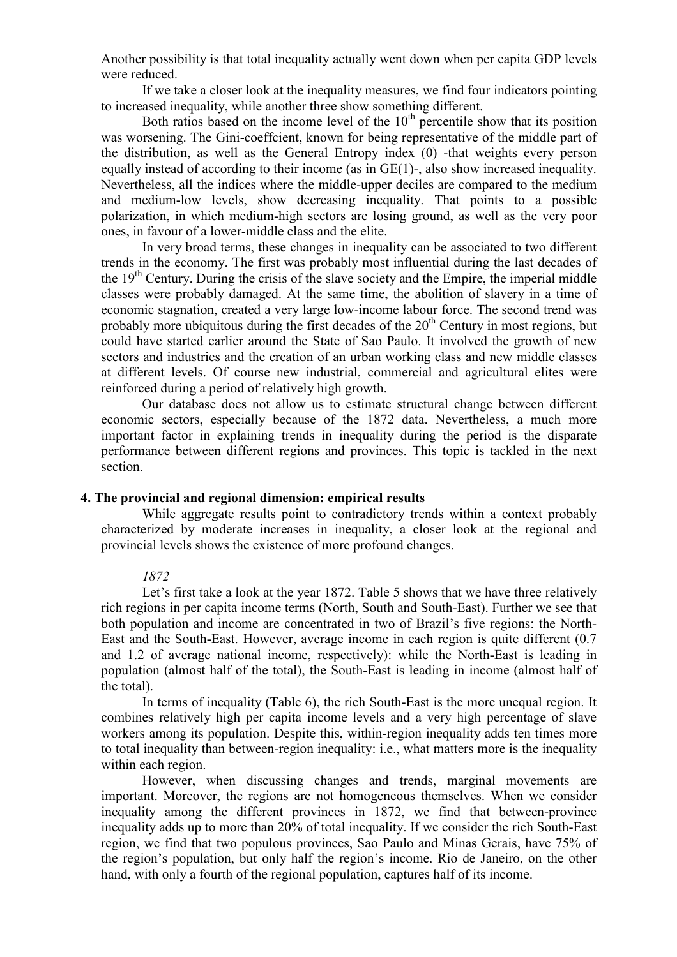Another possibility is that total inequality actually went down when per capita GDP levels were reduced.

If we take a closer look at the inequality measures, we find four indicators pointing to increased inequality, while another three show something different.

Both ratios based on the income level of the  $10<sup>th</sup>$  percentile show that its position was worsening. The Gini-coeffcient, known for being representative of the middle part of the distribution, as well as the General Entropy index (0) -that weights every person equally instead of according to their income (as in GE(1)-, also show increased inequality. Nevertheless, all the indices where the middle-upper deciles are compared to the medium and medium-low levels, show decreasing inequality. That points to a possible polarization, in which medium-high sectors are losing ground, as well as the very poor ones, in favour of a lower-middle class and the elite.

In very broad terms, these changes in inequality can be associated to two different trends in the economy. The first was probably most influential during the last decades of the  $19<sup>th</sup>$  Century. During the crisis of the slave society and the Empire, the imperial middle classes were probably damaged. At the same time, the abolition of slavery in a time of economic stagnation, created a very large low-income labour force. The second trend was probably more ubiquitous during the first decades of the  $20<sup>th</sup>$  Century in most regions, but could have started earlier around the State of Sao Paulo. It involved the growth of new sectors and industries and the creation of an urban working class and new middle classes at different levels. Of course new industrial, commercial and agricultural elites were reinforced during a period of relatively high growth.

Our database does not allow us to estimate structural change between different economic sectors, especially because of the 1872 data. Nevertheless, a much more important factor in explaining trends in inequality during the period is the disparate performance between different regions and provinces. This topic is tackled in the next section.

## 4. The provincial and regional dimension: empirical results

While aggregate results point to contradictory trends within a context probably characterized by moderate increases in inequality, a closer look at the regional and provincial levels shows the existence of more profound changes.

#### 1872

Let's first take a look at the year 1872. Table 5 shows that we have three relatively rich regions in per capita income terms (North, South and South-East). Further we see that both population and income are concentrated in two of Brazil's five regions: the North-East and the South-East. However, average income in each region is quite different (0.7 and 1.2 of average national income, respectively): while the North-East is leading in population (almost half of the total), the South-East is leading in income (almost half of the total).

In terms of inequality (Table 6), the rich South-East is the more unequal region. It combines relatively high per capita income levels and a very high percentage of slave workers among its population. Despite this, within-region inequality adds ten times more to total inequality than between-region inequality: i.e., what matters more is the inequality within each region.

However, when discussing changes and trends, marginal movements are important. Moreover, the regions are not homogeneous themselves. When we consider inequality among the different provinces in 1872, we find that between-province inequality adds up to more than 20% of total inequality. If we consider the rich South-East region, we find that two populous provinces, Sao Paulo and Minas Gerais, have 75% of the region's population, but only half the region's income. Rio de Janeiro, on the other hand, with only a fourth of the regional population, captures half of its income.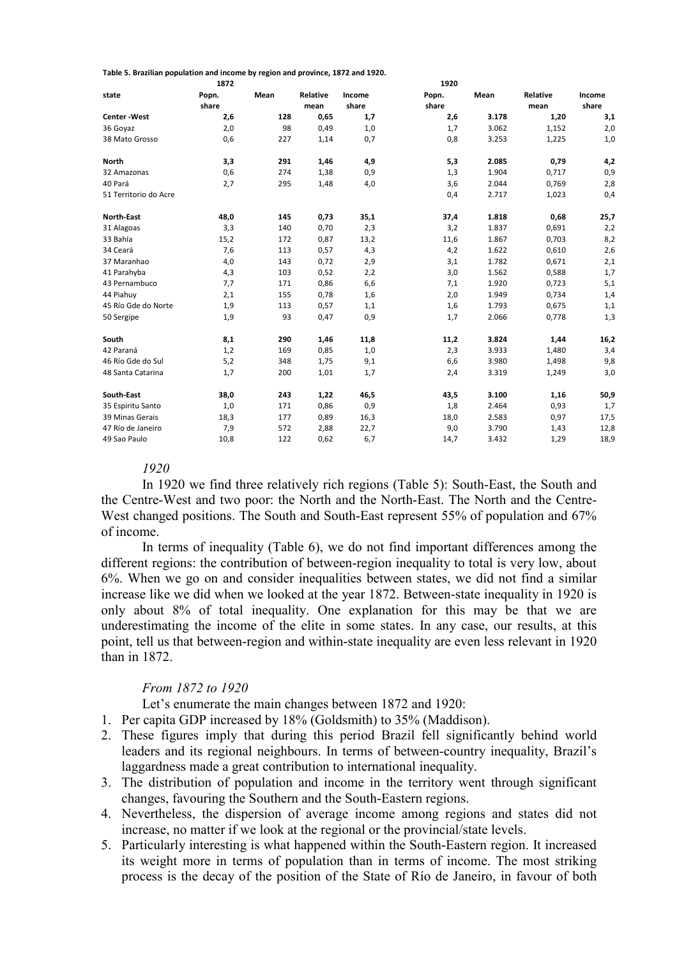Table 5. Brazilian population and income by region and province, 1872 and 1920.

|                       | 1872  |      |          |        | 1920  |       |          |        |
|-----------------------|-------|------|----------|--------|-------|-------|----------|--------|
| state                 | Popn. | Mean | Relative | Income | Popn. | Mean  | Relative | Income |
|                       | share |      | mean     | share  | share |       | mean     | share  |
| <b>Center-West</b>    | 2,6   | 128  | 0,65     | 1,7    | 2,6   | 3.178 | 1,20     | 3,1    |
| 36 Goyaz              | 2,0   | 98   | 0,49     | 1,0    | 1,7   | 3.062 | 1,152    | 2,0    |
| 38 Mato Grosso        | 0,6   | 227  | 1,14     | 0,7    | 0,8   | 3.253 | 1,225    | 1,0    |
| <b>North</b>          | 3,3   | 291  | 1,46     | 4,9    | 5,3   | 2.085 | 0,79     | 4,2    |
| 32 Amazonas           | 0,6   | 274  | 1,38     | 0,9    | 1,3   | 1.904 | 0,717    | 0,9    |
| 40 Pará               | 2,7   | 295  | 1,48     | 4,0    | 3,6   | 2.044 | 0,769    | 2,8    |
| 51 Territorio do Acre |       |      |          |        | 0,4   | 2.717 | 1,023    | 0,4    |
| North-East            | 48,0  | 145  | 0,73     | 35,1   | 37,4  | 1.818 | 0,68     | 25,7   |
| 31 Alagoas            | 3,3   | 140  | 0,70     | 2,3    | 3,2   | 1.837 | 0,691    | 2,2    |
| 33 Bahía              | 15,2  | 172  | 0,87     | 13,2   | 11,6  | 1.867 | 0,703    | 8,2    |
| 34 Ceará              | 7,6   | 113  | 0,57     | 4,3    | 4,2   | 1.622 | 0,610    | 2,6    |
| 37 Maranhao           | 4,0   | 143  | 0,72     | 2,9    | 3,1   | 1.782 | 0,671    | 2,1    |
| 41 Parahyba           | 4,3   | 103  | 0,52     | 2,2    | 3,0   | 1.562 | 0,588    | 1,7    |
| 43 Pernambuco         | 7,7   | 171  | 0,86     | 6,6    | 7,1   | 1.920 | 0,723    | 5,1    |
| 44 Piahuy             | 2,1   | 155  | 0,78     | 1,6    | 2,0   | 1.949 | 0,734    | 1,4    |
| 45 Río Gde do Norte   | 1,9   | 113  | 0,57     | 1,1    | 1,6   | 1.793 | 0,675    | 1,1    |
| 50 Sergipe            | 1,9   | 93   | 0,47     | 0,9    | 1,7   | 2.066 | 0,778    | 1,3    |
| South                 | 8,1   | 290  | 1,46     | 11,8   | 11,2  | 3.824 | 1,44     | 16,2   |
| 42 Paraná             | 1,2   | 169  | 0,85     | 1,0    | 2,3   | 3.933 | 1,480    | 3,4    |
| 46 Río Gde do Sul     | 5,2   | 348  | 1,75     | 9,1    | 6,6   | 3.980 | 1,498    | 9,8    |
| 48 Santa Catarina     | 1,7   | 200  | 1,01     | 1,7    | 2,4   | 3.319 | 1,249    | 3,0    |
| South-East            | 38,0  | 243  | 1,22     | 46,5   | 43,5  | 3.100 | 1,16     | 50,9   |
| 35 Espiritu Santo     | 1,0   | 171  | 0,86     | 0,9    | 1,8   | 2.464 | 0,93     | 1,7    |
| 39 Minas Gerais       | 18,3  | 177  | 0,89     | 16,3   | 18,0  | 2.583 | 0,97     | 17,5   |
| 47 Río de Janeiro     | 7,9   | 572  | 2,88     | 22,7   | 9,0   | 3.790 | 1,43     | 12,8   |
| 49 Sao Paulo          | 10,8  | 122  | 0,62     | 6,7    | 14,7  | 3.432 | 1,29     | 18,9   |

## 1920

In 1920 we find three relatively rich regions (Table 5): South-East, the South and the Centre-West and two poor: the North and the North-East. The North and the Centre-West changed positions. The South and South-East represent 55% of population and 67% of income.

In terms of inequality (Table 6), we do not find important differences among the different regions: the contribution of between-region inequality to total is very low, about 6%. When we go on and consider inequalities between states, we did not find a similar increase like we did when we looked at the year 1872. Between-state inequality in 1920 is only about 8% of total inequality. One explanation for this may be that we are underestimating the income of the elite in some states. In any case, our results, at this point, tell us that between-region and within-state inequality are even less relevant in 1920 than in 1872.

## From 1872 to 1920

Let's enumerate the main changes between 1872 and 1920:

- 1. Per capita GDP increased by 18% (Goldsmith) to 35% (Maddison).
- 2. These figures imply that during this period Brazil fell significantly behind world leaders and its regional neighbours. In terms of between-country inequality, Brazil's laggardness made a great contribution to international inequality.
- 3. The distribution of population and income in the territory went through significant changes, favouring the Southern and the South-Eastern regions.
- 4. Nevertheless, the dispersion of average income among regions and states did not increase, no matter if we look at the regional or the provincial/state levels.
- 5. Particularly interesting is what happened within the South-Eastern region. It increased its weight more in terms of population than in terms of income. The most striking process is the decay of the position of the State of Río de Janeiro, in favour of both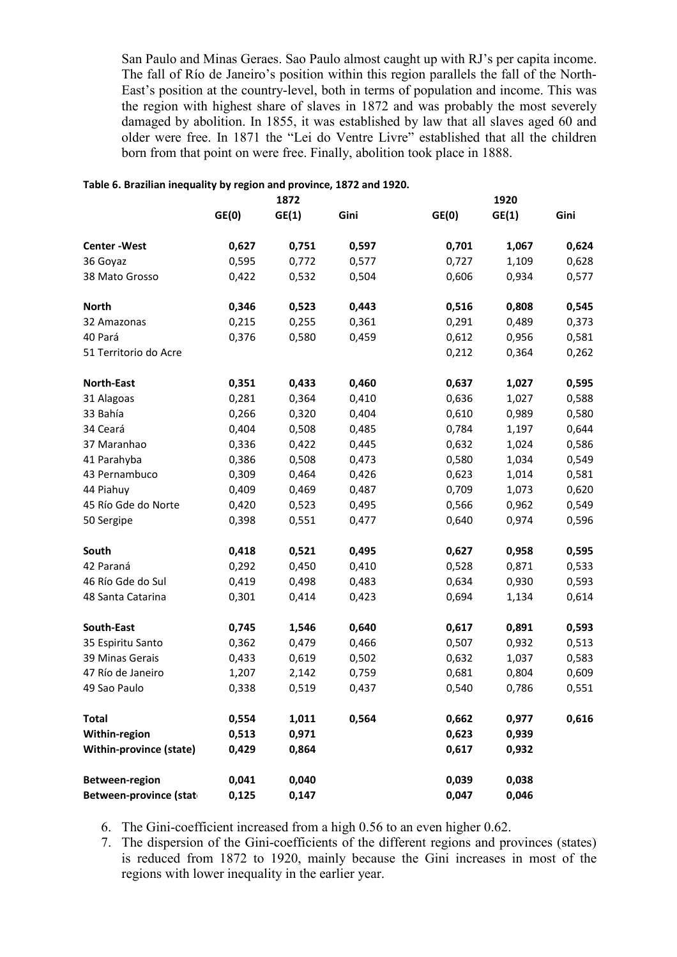San Paulo and Minas Geraes. Sao Paulo almost caught up with RJ's per capita income. The fall of Río de Janeiro's position within this region parallels the fall of the North-East's position at the country-level, both in terms of population and income. This was the region with highest share of slaves in 1872 and was probably the most severely damaged by abolition. In 1855, it was established by law that all slaves aged 60 and older were free. In 1871 the "Lei do Ventre Livre" established that all the children born from that point on were free. Finally, abolition took place in 1888.

#### Table 6. Brazilian inequality by region and province, 1872 and 1920.

|                         | 1872  |       |       | 1920  |       |       |  |
|-------------------------|-------|-------|-------|-------|-------|-------|--|
|                         | GE(0) | GE(1) | Gini  | GE(0) | GE(1) | Gini  |  |
| <b>Center-West</b>      | 0,627 | 0,751 | 0,597 | 0,701 | 1,067 | 0,624 |  |
| 36 Goyaz                | 0,595 | 0,772 | 0,577 | 0,727 | 1,109 | 0,628 |  |
| 38 Mato Grosso          | 0,422 | 0,532 | 0,504 | 0,606 | 0,934 | 0,577 |  |
| <b>North</b>            | 0,346 | 0,523 | 0,443 | 0,516 | 0,808 | 0,545 |  |
| 32 Amazonas             | 0,215 | 0,255 | 0,361 | 0,291 | 0,489 | 0,373 |  |
| 40 Pará                 | 0,376 | 0,580 | 0,459 | 0,612 | 0,956 | 0,581 |  |
| 51 Territorio do Acre   |       |       |       | 0,212 | 0,364 | 0,262 |  |
| <b>North-East</b>       | 0,351 | 0,433 | 0,460 | 0,637 | 1,027 | 0,595 |  |
| 31 Alagoas              | 0,281 | 0,364 | 0,410 | 0,636 | 1,027 | 0,588 |  |
| 33 Bahía                | 0,266 | 0,320 | 0,404 | 0,610 | 0,989 | 0,580 |  |
| 34 Ceará                | 0,404 | 0,508 | 0,485 | 0,784 | 1,197 | 0,644 |  |
| 37 Maranhao             | 0,336 | 0,422 | 0,445 | 0,632 | 1,024 | 0,586 |  |
| 41 Parahyba             | 0,386 | 0,508 | 0,473 | 0,580 | 1,034 | 0,549 |  |
| 43 Pernambuco           | 0,309 | 0,464 | 0,426 | 0,623 | 1,014 | 0,581 |  |
| 44 Piahuy               | 0,409 | 0,469 | 0,487 | 0,709 | 1,073 | 0,620 |  |
| 45 Río Gde do Norte     | 0,420 | 0,523 | 0,495 | 0,566 | 0,962 | 0,549 |  |
| 50 Sergipe              | 0,398 | 0,551 | 0,477 | 0,640 | 0,974 | 0,596 |  |
| South                   | 0,418 | 0,521 | 0,495 | 0,627 | 0,958 | 0,595 |  |
| 42 Paraná               | 0,292 | 0,450 | 0,410 | 0,528 | 0,871 | 0,533 |  |
| 46 Río Gde do Sul       | 0,419 | 0,498 | 0,483 | 0,634 | 0,930 | 0,593 |  |
| 48 Santa Catarina       | 0,301 | 0,414 | 0,423 | 0,694 | 1,134 | 0,614 |  |
| South-East              | 0,745 | 1,546 | 0,640 | 0,617 | 0,891 | 0,593 |  |
| 35 Espiritu Santo       | 0,362 | 0,479 | 0,466 | 0,507 | 0,932 | 0,513 |  |
| 39 Minas Gerais         | 0,433 | 0,619 | 0,502 | 0,632 | 1,037 | 0,583 |  |
| 47 Río de Janeiro       | 1,207 | 2,142 | 0,759 | 0,681 | 0,804 | 0,609 |  |
| 49 Sao Paulo            | 0,338 | 0,519 | 0,437 | 0,540 | 0,786 | 0,551 |  |
| <b>Total</b>            | 0,554 | 1,011 | 0,564 | 0,662 | 0,977 | 0,616 |  |
| Within-region           | 0,513 | 0,971 |       | 0,623 | 0,939 |       |  |
| Within-province (state) | 0,429 | 0,864 |       | 0,617 | 0,932 |       |  |
| Between-region          | 0,041 | 0,040 |       | 0,039 | 0,038 |       |  |
| Between-province (stat  | 0,125 | 0,147 |       | 0,047 | 0,046 |       |  |

6. The Gini-coefficient increased from a high 0.56 to an even higher 0.62.

7. The dispersion of the Gini-coefficients of the different regions and provinces (states) is reduced from 1872 to 1920, mainly because the Gini increases in most of the regions with lower inequality in the earlier year.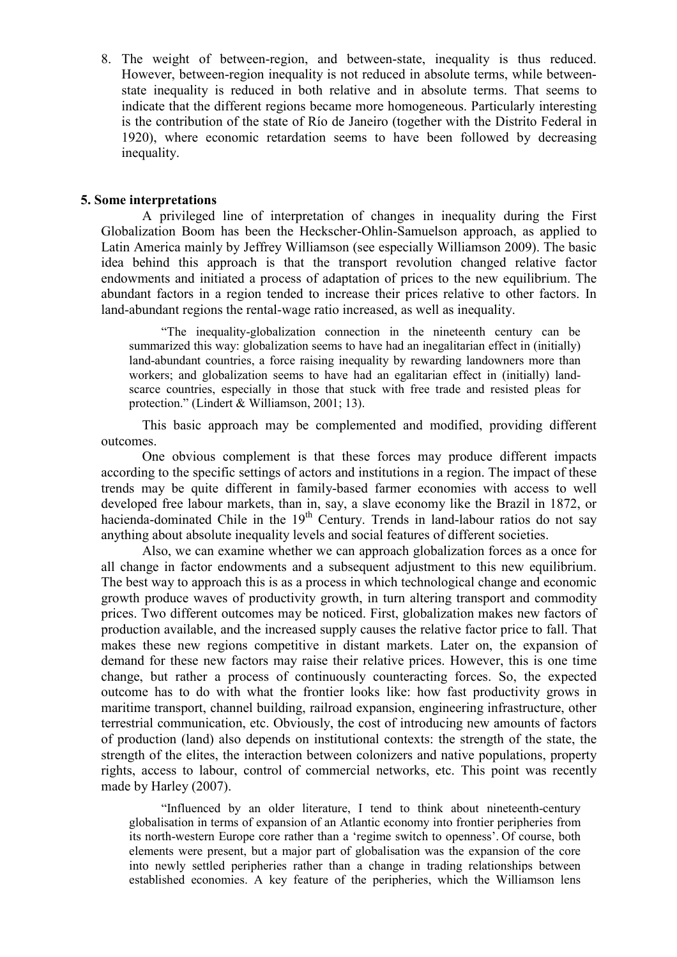8. The weight of between-region, and between-state, inequality is thus reduced. However, between-region inequality is not reduced in absolute terms, while betweenstate inequality is reduced in both relative and in absolute terms. That seems to indicate that the different regions became more homogeneous. Particularly interesting is the contribution of the state of Río de Janeiro (together with the Distrito Federal in 1920), where economic retardation seems to have been followed by decreasing inequality.

## 5. Some interpretations

A privileged line of interpretation of changes in inequality during the First Globalization Boom has been the Heckscher-Ohlin-Samuelson approach, as applied to Latin America mainly by Jeffrey Williamson (see especially Williamson 2009). The basic idea behind this approach is that the transport revolution changed relative factor endowments and initiated a process of adaptation of prices to the new equilibrium. The abundant factors in a region tended to increase their prices relative to other factors. In land-abundant regions the rental-wage ratio increased, as well as inequality.

"The inequality-globalization connection in the nineteenth century can be summarized this way: globalization seems to have had an inegalitarian effect in (initially) land-abundant countries, a force raising inequality by rewarding landowners more than workers; and globalization seems to have had an egalitarian effect in (initially) landscarce countries, especially in those that stuck with free trade and resisted pleas for protection." (Lindert & Williamson, 2001; 13).

This basic approach may be complemented and modified, providing different outcomes.

One obvious complement is that these forces may produce different impacts according to the specific settings of actors and institutions in a region. The impact of these trends may be quite different in family-based farmer economies with access to well developed free labour markets, than in, say, a slave economy like the Brazil in 1872, or hacienda-dominated Chile in the  $19<sup>th</sup>$  Century. Trends in land-labour ratios do not say anything about absolute inequality levels and social features of different societies.

Also, we can examine whether we can approach globalization forces as a once for all change in factor endowments and a subsequent adjustment to this new equilibrium. The best way to approach this is as a process in which technological change and economic growth produce waves of productivity growth, in turn altering transport and commodity prices. Two different outcomes may be noticed. First, globalization makes new factors of production available, and the increased supply causes the relative factor price to fall. That makes these new regions competitive in distant markets. Later on, the expansion of demand for these new factors may raise their relative prices. However, this is one time change, but rather a process of continuously counteracting forces. So, the expected outcome has to do with what the frontier looks like: how fast productivity grows in maritime transport, channel building, railroad expansion, engineering infrastructure, other terrestrial communication, etc. Obviously, the cost of introducing new amounts of factors of production (land) also depends on institutional contexts: the strength of the state, the strength of the elites, the interaction between colonizers and native populations, property rights, access to labour, control of commercial networks, etc. This point was recently made by Harley (2007).

"Influenced by an older literature, I tend to think about nineteenth-century globalisation in terms of expansion of an Atlantic economy into frontier peripheries from its north-western Europe core rather than a 'regime switch to openness'. Of course, both elements were present, but a major part of globalisation was the expansion of the core into newly settled peripheries rather than a change in trading relationships between established economies. A key feature of the peripheries, which the Williamson lens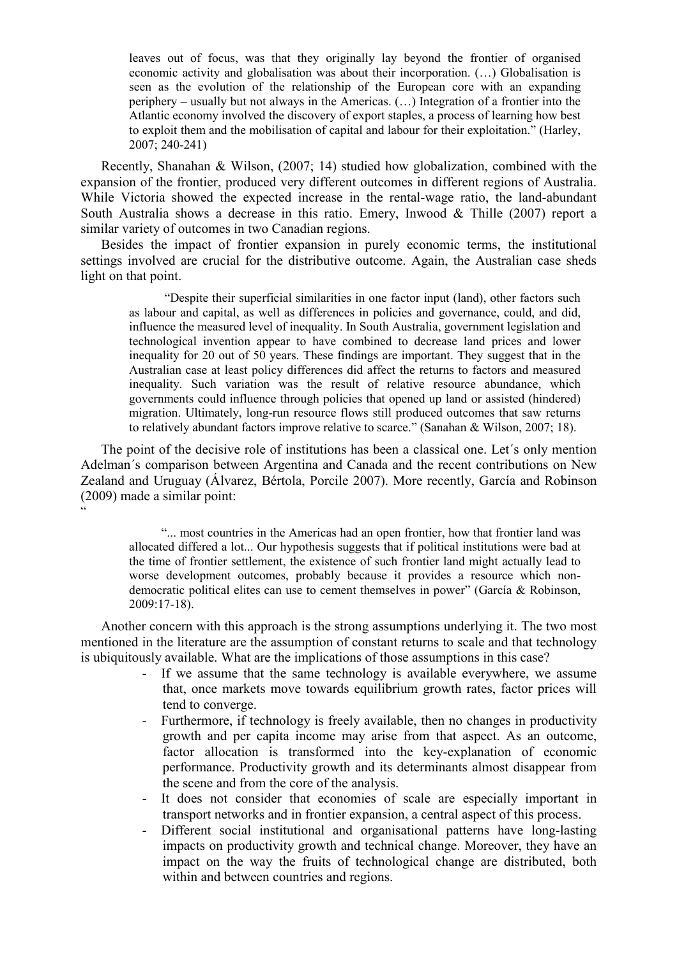leaves out of focus, was that they originally lay beyond the frontier of organised economic activity and globalisation was about their incorporation. (…) Globalisation is seen as the evolution of the relationship of the European core with an expanding periphery – usually but not always in the Americas. (…) Integration of a frontier into the Atlantic economy involved the discovery of export staples, a process of learning how best to exploit them and the mobilisation of capital and labour for their exploitation." (Harley, 2007; 240-241)

Recently, Shanahan & Wilson, (2007; 14) studied how globalization, combined with the expansion of the frontier, produced very different outcomes in different regions of Australia. While Victoria showed the expected increase in the rental-wage ratio, the land-abundant South Australia shows a decrease in this ratio. Emery, Inwood  $&$  Thille (2007) report a similar variety of outcomes in two Canadian regions.

Besides the impact of frontier expansion in purely economic terms, the institutional settings involved are crucial for the distributive outcome. Again, the Australian case sheds light on that point.

 "Despite their superficial similarities in one factor input (land), other factors such as labour and capital, as well as differences in policies and governance, could, and did, influence the measured level of inequality. In South Australia, government legislation and technological invention appear to have combined to decrease land prices and lower inequality for 20 out of 50 years. These findings are important. They suggest that in the Australian case at least policy differences did affect the returns to factors and measured inequality. Such variation was the result of relative resource abundance, which governments could influence through policies that opened up land or assisted (hindered) migration. Ultimately, long-run resource flows still produced outcomes that saw returns to relatively abundant factors improve relative to scarce." (Sanahan & Wilson, 2007; 18).

The point of the decisive role of institutions has been a classical one. Let´s only mention Adelman´s comparison between Argentina and Canada and the recent contributions on New Zealand and Uruguay (Álvarez, Bértola, Porcile 2007). More recently, García and Robinson (2009) made a similar point:

 $\ddot{\phantom{0}}$ 

"... most countries in the Americas had an open frontier, how that frontier land was allocated differed a lot... Our hypothesis suggests that if political institutions were bad at the time of frontier settlement, the existence of such frontier land might actually lead to worse development outcomes, probably because it provides a resource which nondemocratic political elites can use to cement themselves in power" (García & Robinson, 2009:17-18).

Another concern with this approach is the strong assumptions underlying it. The two most mentioned in the literature are the assumption of constant returns to scale and that technology is ubiquitously available. What are the implications of those assumptions in this case?

- If we assume that the same technology is available everywhere, we assume that, once markets move towards equilibrium growth rates, factor prices will tend to converge.
- Furthermore, if technology is freely available, then no changes in productivity growth and per capita income may arise from that aspect. As an outcome, factor allocation is transformed into the key-explanation of economic performance. Productivity growth and its determinants almost disappear from the scene and from the core of the analysis.
- It does not consider that economies of scale are especially important in transport networks and in frontier expansion, a central aspect of this process.
- Different social institutional and organisational patterns have long-lasting impacts on productivity growth and technical change. Moreover, they have an impact on the way the fruits of technological change are distributed, both within and between countries and regions.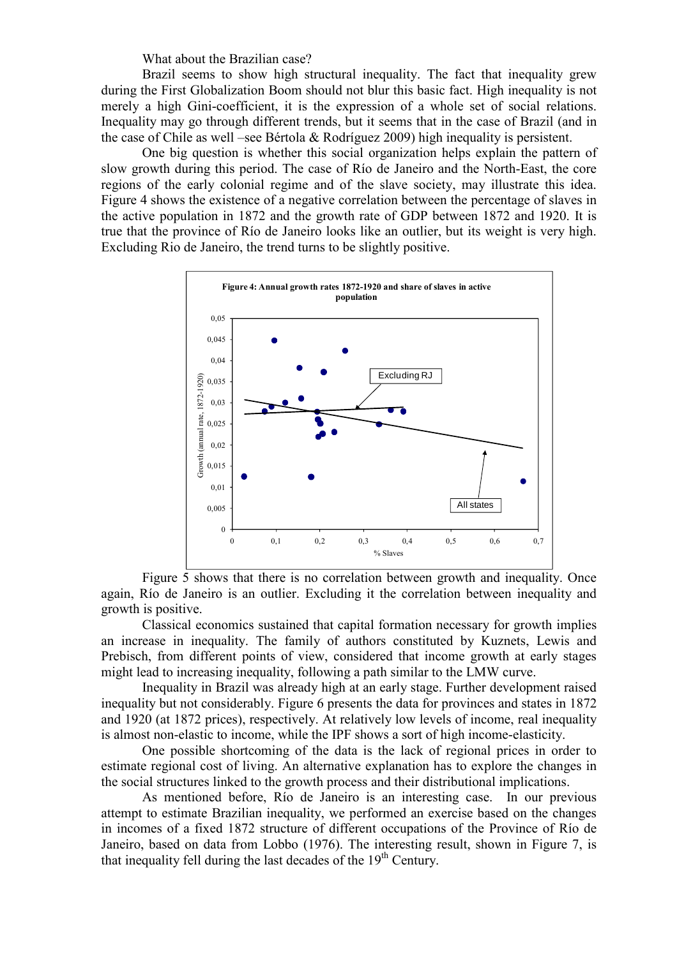What about the Brazilian case?

Brazil seems to show high structural inequality. The fact that inequality grew during the First Globalization Boom should not blur this basic fact. High inequality is not merely a high Gini-coefficient, it is the expression of a whole set of social relations. Inequality may go through different trends, but it seems that in the case of Brazil (and in the case of Chile as well –see Bértola & Rodríguez 2009) high inequality is persistent.

One big question is whether this social organization helps explain the pattern of slow growth during this period. The case of Río de Janeiro and the North-East, the core regions of the early colonial regime and of the slave society, may illustrate this idea. Figure 4 shows the existence of a negative correlation between the percentage of slaves in the active population in 1872 and the growth rate of GDP between 1872 and 1920. It is true that the province of Río de Janeiro looks like an outlier, but its weight is very high. Excluding Rio de Janeiro, the trend turns to be slightly positive.



Figure 5 shows that there is no correlation between growth and inequality. Once again, Río de Janeiro is an outlier. Excluding it the correlation between inequality and growth is positive.

Classical economics sustained that capital formation necessary for growth implies an increase in inequality. The family of authors constituted by Kuznets, Lewis and Prebisch, from different points of view, considered that income growth at early stages might lead to increasing inequality, following a path similar to the LMW curve.

Inequality in Brazil was already high at an early stage. Further development raised inequality but not considerably. Figure 6 presents the data for provinces and states in 1872 and 1920 (at 1872 prices), respectively. At relatively low levels of income, real inequality is almost non-elastic to income, while the IPF shows a sort of high income-elasticity.

One possible shortcoming of the data is the lack of regional prices in order to estimate regional cost of living. An alternative explanation has to explore the changes in the social structures linked to the growth process and their distributional implications.

As mentioned before, Río de Janeiro is an interesting case. In our previous attempt to estimate Brazilian inequality, we performed an exercise based on the changes in incomes of a fixed 1872 structure of different occupations of the Province of Río de Janeiro, based on data from Lobbo (1976). The interesting result, shown in Figure 7, is that inequality fell during the last decades of the 19<sup>th</sup> Century.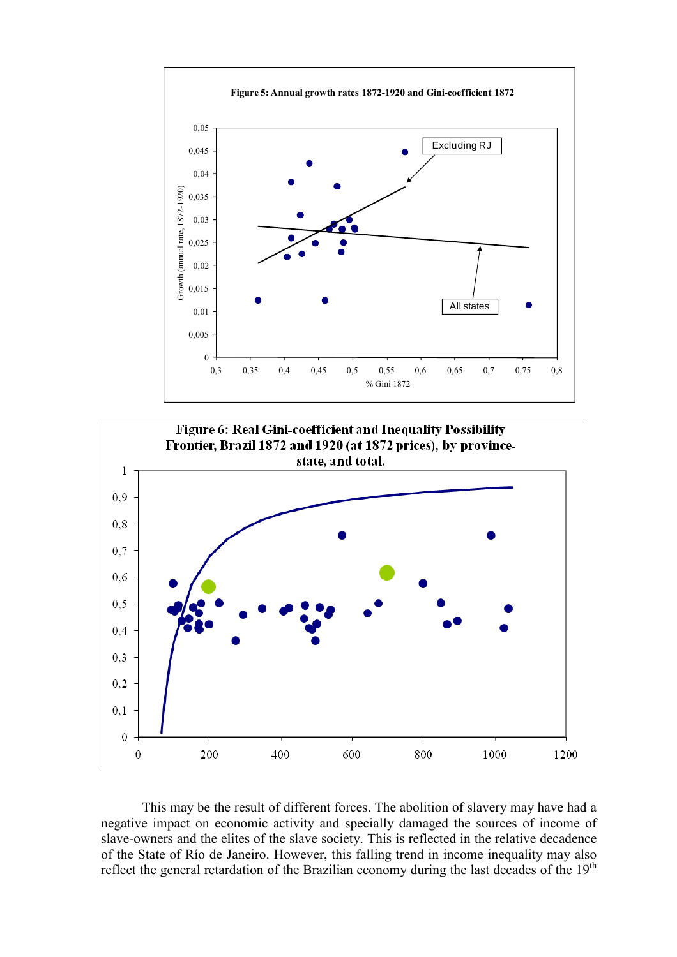



This may be the result of different forces. The abolition of slavery may have had a negative impact on economic activity and specially damaged the sources of income of slave-owners and the elites of the slave society. This is reflected in the relative decadence of the State of Río de Janeiro. However, this falling trend in income inequality may also reflect the general retardation of the Brazilian economy during the last decades of the  $19<sup>th</sup>$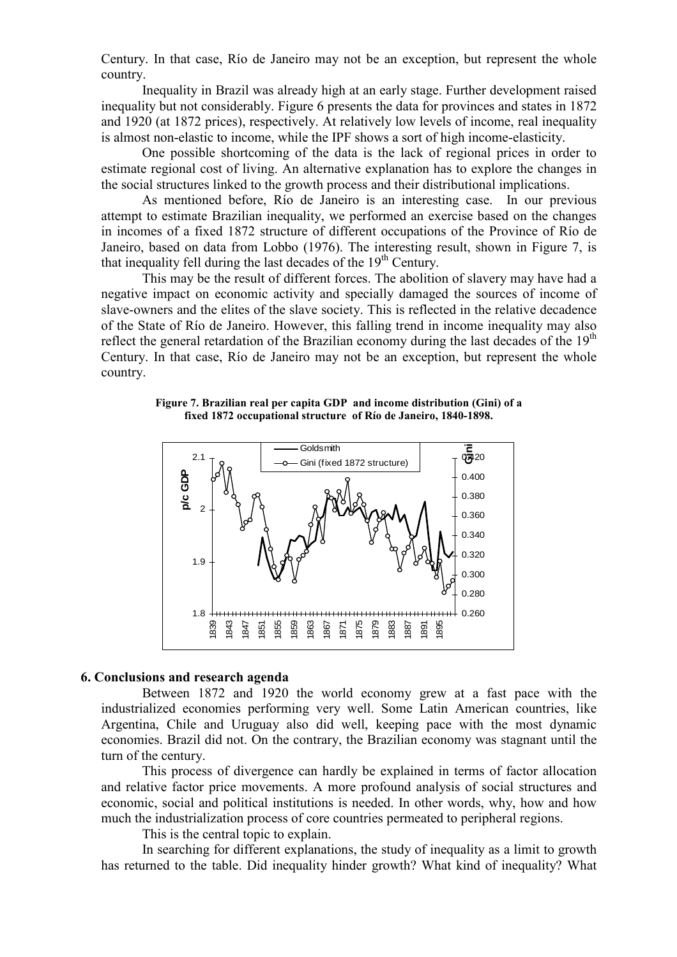Century. In that case, Río de Janeiro may not be an exception, but represent the whole country.

Inequality in Brazil was already high at an early stage. Further development raised inequality but not considerably. Figure 6 presents the data for provinces and states in 1872 and 1920 (at 1872 prices), respectively. At relatively low levels of income, real inequality is almost non-elastic to income, while the IPF shows a sort of high income-elasticity.

One possible shortcoming of the data is the lack of regional prices in order to estimate regional cost of living. An alternative explanation has to explore the changes in the social structures linked to the growth process and their distributional implications.

As mentioned before, Río de Janeiro is an interesting case. In our previous attempt to estimate Brazilian inequality, we performed an exercise based on the changes in incomes of a fixed 1872 structure of different occupations of the Province of Río de Janeiro, based on data from Lobbo (1976). The interesting result, shown in Figure 7, is that inequality fell during the last decades of the  $19<sup>th</sup>$  Century.

This may be the result of different forces. The abolition of slavery may have had a negative impact on economic activity and specially damaged the sources of income of slave-owners and the elites of the slave society. This is reflected in the relative decadence of the State of Río de Janeiro. However, this falling trend in income inequality may also reflect the general retardation of the Brazilian economy during the last decades of the  $19<sup>th</sup>$ Century. In that case, Río de Janeiro may not be an exception, but represent the whole country.

Figure 7. Brazilian real per capita GDP and income distribution (Gini) of a fixed 1872 occupational structure of Río de Janeiro, 1840-1898.



## 6. Conclusions and research agenda

Between 1872 and 1920 the world economy grew at a fast pace with the industrialized economies performing very well. Some Latin American countries, like Argentina, Chile and Uruguay also did well, keeping pace with the most dynamic economies. Brazil did not. On the contrary, the Brazilian economy was stagnant until the turn of the century.

This process of divergence can hardly be explained in terms of factor allocation and relative factor price movements. A more profound analysis of social structures and economic, social and political institutions is needed. In other words, why, how and how much the industrialization process of core countries permeated to peripheral regions.

This is the central topic to explain.

In searching for different explanations, the study of inequality as a limit to growth has returned to the table. Did inequality hinder growth? What kind of inequality? What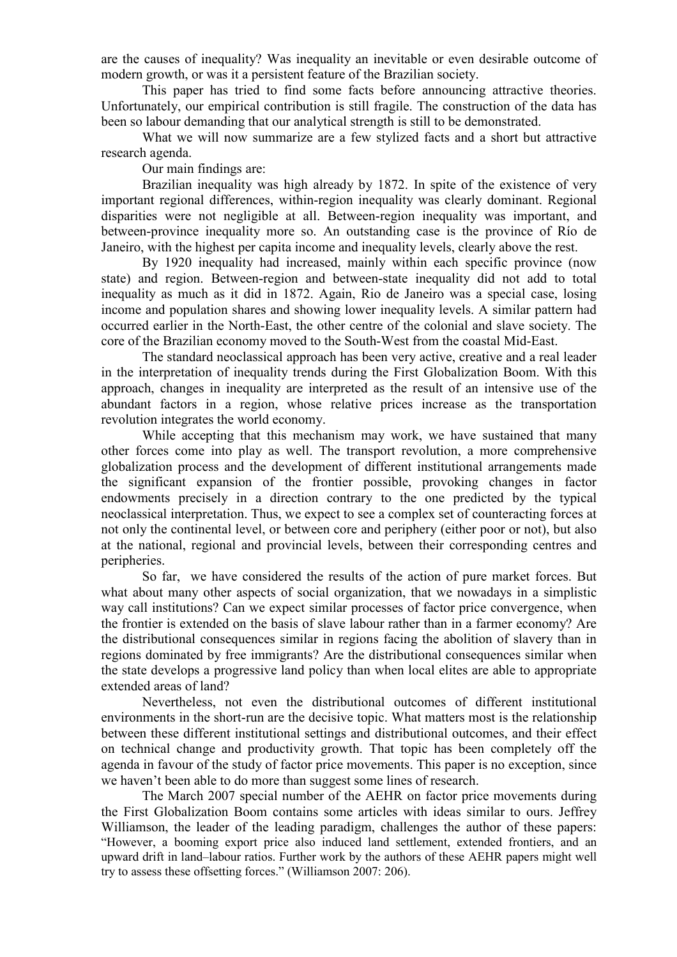are the causes of inequality? Was inequality an inevitable or even desirable outcome of modern growth, or was it a persistent feature of the Brazilian society.

This paper has tried to find some facts before announcing attractive theories. Unfortunately, our empirical contribution is still fragile. The construction of the data has been so labour demanding that our analytical strength is still to be demonstrated.

What we will now summarize are a few stylized facts and a short but attractive research agenda.

Our main findings are:

Brazilian inequality was high already by 1872. In spite of the existence of very important regional differences, within-region inequality was clearly dominant. Regional disparities were not negligible at all. Between-region inequality was important, and between-province inequality more so. An outstanding case is the province of Río de Janeiro, with the highest per capita income and inequality levels, clearly above the rest.

By 1920 inequality had increased, mainly within each specific province (now state) and region. Between-region and between-state inequality did not add to total inequality as much as it did in 1872. Again, Rio de Janeiro was a special case, losing income and population shares and showing lower inequality levels. A similar pattern had occurred earlier in the North-East, the other centre of the colonial and slave society. The core of the Brazilian economy moved to the South-West from the coastal Mid-East.

The standard neoclassical approach has been very active, creative and a real leader in the interpretation of inequality trends during the First Globalization Boom. With this approach, changes in inequality are interpreted as the result of an intensive use of the abundant factors in a region, whose relative prices increase as the transportation revolution integrates the world economy.

While accepting that this mechanism may work, we have sustained that many other forces come into play as well. The transport revolution, a more comprehensive globalization process and the development of different institutional arrangements made the significant expansion of the frontier possible, provoking changes in factor endowments precisely in a direction contrary to the one predicted by the typical neoclassical interpretation. Thus, we expect to see a complex set of counteracting forces at not only the continental level, or between core and periphery (either poor or not), but also at the national, regional and provincial levels, between their corresponding centres and peripheries.

So far, we have considered the results of the action of pure market forces. But what about many other aspects of social organization, that we nowadays in a simplistic way call institutions? Can we expect similar processes of factor price convergence, when the frontier is extended on the basis of slave labour rather than in a farmer economy? Are the distributional consequences similar in regions facing the abolition of slavery than in regions dominated by free immigrants? Are the distributional consequences similar when the state develops a progressive land policy than when local elites are able to appropriate extended areas of land?

Nevertheless, not even the distributional outcomes of different institutional environments in the short-run are the decisive topic. What matters most is the relationship between these different institutional settings and distributional outcomes, and their effect on technical change and productivity growth. That topic has been completely off the agenda in favour of the study of factor price movements. This paper is no exception, since we haven't been able to do more than suggest some lines of research.

The March 2007 special number of the AEHR on factor price movements during the First Globalization Boom contains some articles with ideas similar to ours. Jeffrey Williamson, the leader of the leading paradigm, challenges the author of these papers: "However, a booming export price also induced land settlement, extended frontiers, and an upward drift in land–labour ratios. Further work by the authors of these AEHR papers might well try to assess these offsetting forces." (Williamson 2007: 206).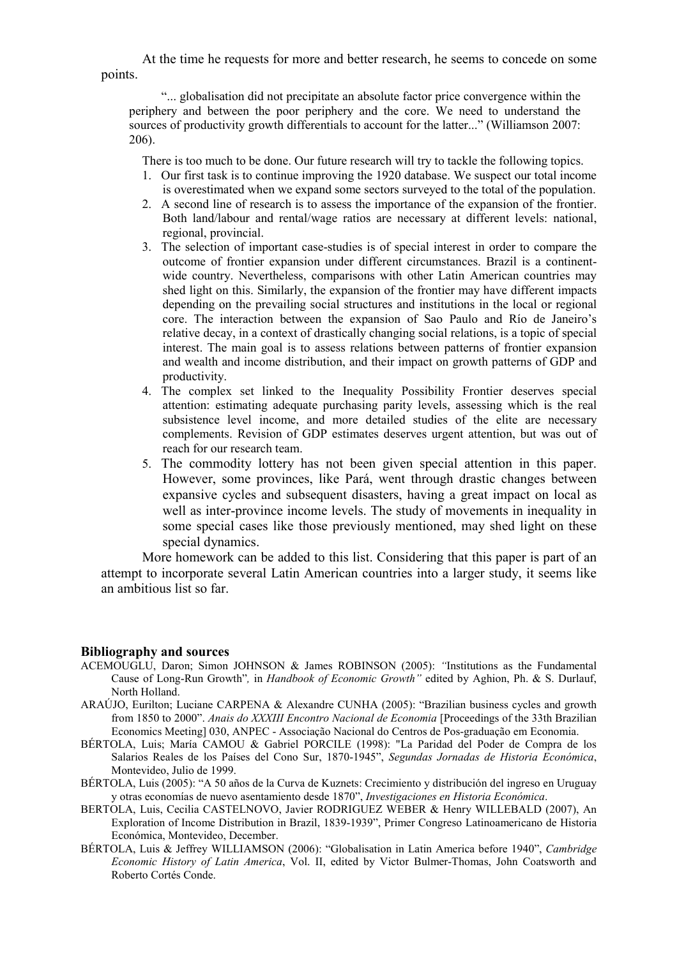At the time he requests for more and better research, he seems to concede on some points.

"... globalisation did not precipitate an absolute factor price convergence within the periphery and between the poor periphery and the core. We need to understand the sources of productivity growth differentials to account for the latter..." (Williamson 2007: 206).

There is too much to be done. Our future research will try to tackle the following topics.

- 1. Our first task is to continue improving the 1920 database. We suspect our total income is overestimated when we expand some sectors surveyed to the total of the population.
- 2. A second line of research is to assess the importance of the expansion of the frontier. Both land/labour and rental/wage ratios are necessary at different levels: national, regional, provincial.
- 3. The selection of important case-studies is of special interest in order to compare the outcome of frontier expansion under different circumstances. Brazil is a continentwide country. Nevertheless, comparisons with other Latin American countries may shed light on this. Similarly, the expansion of the frontier may have different impacts depending on the prevailing social structures and institutions in the local or regional core. The interaction between the expansion of Sao Paulo and Río de Janeiro's relative decay, in a context of drastically changing social relations, is a topic of special interest. The main goal is to assess relations between patterns of frontier expansion and wealth and income distribution, and their impact on growth patterns of GDP and productivity.
- 4. The complex set linked to the Inequality Possibility Frontier deserves special attention: estimating adequate purchasing parity levels, assessing which is the real subsistence level income, and more detailed studies of the elite are necessary complements. Revision of GDP estimates deserves urgent attention, but was out of reach for our research team.
- 5. The commodity lottery has not been given special attention in this paper. However, some provinces, like Pará, went through drastic changes between expansive cycles and subsequent disasters, having a great impact on local as well as inter-province income levels. The study of movements in inequality in some special cases like those previously mentioned, may shed light on these special dynamics.

More homework can be added to this list. Considering that this paper is part of an attempt to incorporate several Latin American countries into a larger study, it seems like an ambitious list so far.

#### Bibliography and sources

- ACEMOUGLU, Daron; Simon JOHNSON & James ROBINSON (2005): "Institutions as the Fundamental Cause of Long-Run Growth", in Handbook of Economic Growth" edited by Aghion, Ph. & S. Durlauf, North Holland.
- ARAÚJO, Eurilton; Luciane CARPENA & Alexandre CUNHA (2005): "Brazilian business cycles and growth from 1850 to 2000". Anais do XXXIII Encontro Nacional de Economia [Proceedings of the 33th Brazilian Economics Meeting] 030, ANPEC - Associação Nacional do Centros de Pos-graduação em Economia.
- BÉRTOLA, Luis; María CAMOU & Gabriel PORCILE (1998): "La Paridad del Poder de Compra de los Salarios Reales de los Países del Cono Sur, 1870-1945", Segundas Jornadas de Historia Económica, Montevideo, Julio de 1999.
- BÉRTOLA, Luis (2005): "A 50 años de la Curva de Kuznets: Crecimiento y distribución del ingreso en Uruguay y otras economías de nuevo asentamiento desde 1870", Investigaciones en Historia Económica.
- BERTOLA, Luis, Cecilia CASTELNOVO, Javier RODRIGUEZ WEBER & Henry WILLEBALD (2007), An Exploration of Income Distribution in Brazil, 1839-1939", Primer Congreso Latinoamericano de Historia Económica, Montevideo, December.
- BÉRTOLA, Luis & Jeffrey WILLIAMSON (2006): "Globalisation in Latin America before 1940", Cambridge Economic History of Latin America, Vol. II, edited by Victor Bulmer-Thomas, John Coatsworth and Roberto Cortés Conde.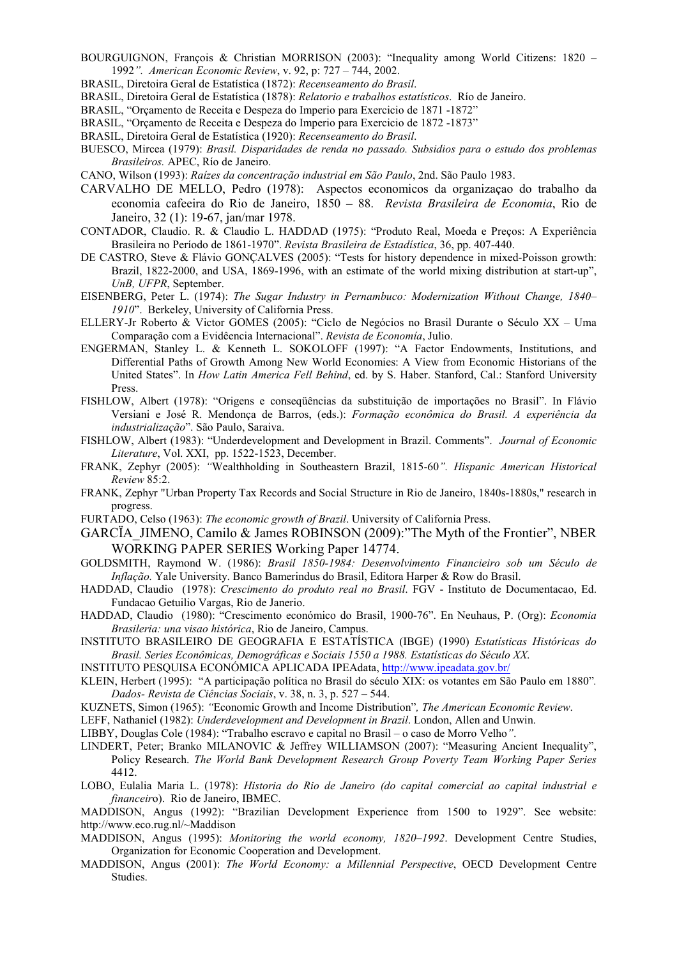- BOURGUIGNON, François & Christian MORRISON (2003): "Inequality among World Citizens: 1820 1992". American Economic Review, v. 92, p: 727 – 744, 2002.
- BRASIL, Diretoira Geral de Estatística (1872): Recenseamento do Brasil.
- BRASIL, Diretoira Geral de Estatística (1878): Relatorio e trabalhos estatísticos. Río de Janeiro.
- BRASIL, "Orçamento de Receita e Despeza do Imperio para Exercicio de 1871 -1872"
- BRASIL, "Orçamento de Receita e Despeza do Imperio para Exercicio de 1872 -1873"
- BRASIL, Diretoira Geral de Estatística (1920): Recenseamento do Brasil.
- BUESCO, Mircea (1979): Brasil. Disparidades de renda no passado. Subsidios para o estudo dos problemas Brasileiros. APEC, Río de Janeiro.
- CANO, Wilson (1993): Raízes da concentração industrial em São Paulo, 2nd. São Paulo 1983.
- CARVALHO DE MELLO, Pedro (1978): Aspectos economicos da organizaçao do trabalho da economia cafeeira do Rio de Janeiro, 1850 – 88. Revista Brasileira de Economia, Rio de Janeiro, 32 (1): 19-67, jan/mar 1978.
- CONTADOR, Claudio. R. & Claudio L. HADDAD (1975): "Produto Real, Moeda e Preços: A Experiência Brasileira no Período de 1861-1970". Revista Brasileira de Estadística, 36, pp. 407-440.
- DE CASTRO, Steve & Flávio GONÇALVES (2005): "Tests for history dependence in mixed-Poisson growth: Brazil, 1822-2000, and USA, 1869-1996, with an estimate of the world mixing distribution at start-up", UnB, UFPR, September.
- EISENBERG, Peter L. (1974): The Sugar Industry in Pernambuco: Modernization Without Change, 1840– 1910". Berkeley, University of California Press.
- ELLERY-Jr Roberto & Victor GOMES (2005): "Ciclo de Negócios no Brasil Durante o Século XX Uma Comparação com a Evidêencia Internacional". Revista de Economía, Julio.
- ENGERMAN, Stanley L. & Kenneth L. SOKOLOFF (1997): "A Factor Endowments, Institutions, and Differential Paths of Growth Among New World Economies: A View from Economic Historians of the United States". In How Latin America Fell Behind, ed. by S. Haber. Stanford, Cal.: Stanford University Press.
- FISHLOW, Albert (1978): "Origens e conseqüências da substituição de importações no Brasil". In Flávio Versiani e José R. Mendonça de Barros, (eds.): Formação econômica do Brasil. A experiência da industrialização". São Paulo, Saraiva.
- FISHLOW, Albert (1983): "Underdevelopment and Development in Brazil. Comments". Journal of Economic Literature, Vol. XXI, pp. 1522-1523, December.
- FRANK, Zephyr (2005): "Wealthholding in Southeastern Brazil, 1815-60". Hispanic American Historical Review 85:2.
- FRANK, Zephyr "Urban Property Tax Records and Social Structure in Rio de Janeiro, 1840s-1880s," research in progress.
- FURTADO, Celso (1963): The economic growth of Brazil. University of California Press.
- GARCÏA\_JIMENO, Camilo & James ROBINSON (2009):"The Myth of the Frontier", NBER WORKING PAPER SERIES Working Paper 14774.
- GOLDSMITH, Raymond W. (1986): Brasil 1850-1984: Desenvolvimento Financieiro sob um Século de Inflação. Yale University. Banco Bamerindus do Brasil, Editora Harper & Row do Brasil.
- HADDAD, Claudio (1978): Crescimento do produto real no Brasil. FGV Instituto de Documentacao, Ed. Fundacao Getuilio Vargas, Rio de Janerio.
- HADDAD, Claudio (1980): "Crescimento económico do Brasil, 1900-76". En Neuhaus, P. (Org): Economia Brasileria: una visao histórica, Rio de Janeiro, Campus.
- INSTITUTO BRASILEIRO DE GEOGRAFIA E ESTATÍSTICA (IBGE) (1990) Estatísticas Históricas do Brasil. Series Econômicas, Demográficas e Sociais 1550 a 1988. Estatísticas do Século XX.
- INSTITUTO PESQUISA ECONÓMICA APLICADA IPEAdata, http://www.ipeadata.gov.br/
- KLEIN, Herbert (1995): "A participação política no Brasil do século XIX: os votantes em São Paulo em 1880". Dados- Revista de Ciências Sociais, v. 38, n. 3, p. 527 – 544.
- KUZNETS, Simon (1965): "Economic Growth and Income Distribution", The American Economic Review.
- LEFF, Nathaniel (1982): Underdevelopment and Development in Brazil. London, Allen and Unwin.
- LIBBY, Douglas Cole (1984): "Trabalho escravo e capital no Brasil o caso de Morro Velho".
- LINDERT, Peter; Branko MILANOVIC & Jeffrey WILLIAMSON (2007): "Measuring Ancient Inequality", Policy Research. The World Bank Development Research Group Poverty Team Working Paper Series 4412.
- LOBO, Eulalia Maria L. (1978): Historia do Rio de Janeiro (do capital comercial ao capital industrial e financeiro). Rio de Janeiro, IBMEC.
- MADDISON, Angus (1992): "Brazilian Development Experience from 1500 to 1929". See website: http://www.eco.rug.nl/~Maddison
- MADDISON, Angus (1995): Monitoring the world economy, 1820–1992. Development Centre Studies, Organization for Economic Cooperation and Development.
- MADDISON, Angus (2001): The World Economy: a Millennial Perspective, OECD Development Centre Studies.